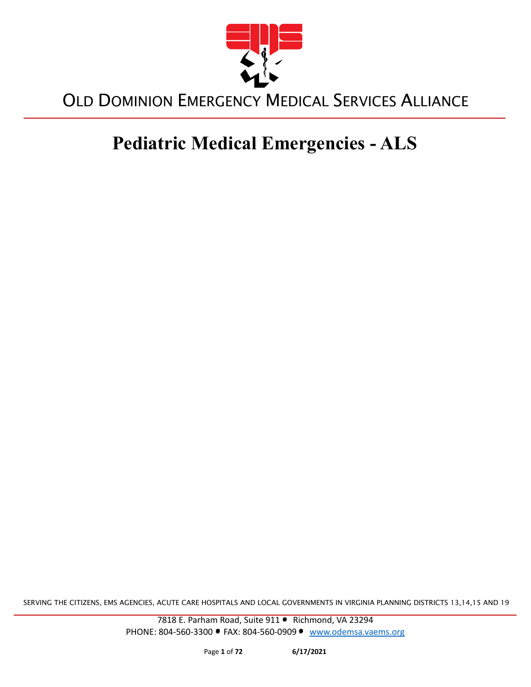

# **Pediatric Medical Emergencies - ALS**

SERVING THE CITIZENS, EMS AGENCIES, ACUTE CARE HOSPITALS AND LOCAL GOVERNMENTS IN VIRGINIA PLANNING DISTRICTS 13,14,15 AND 19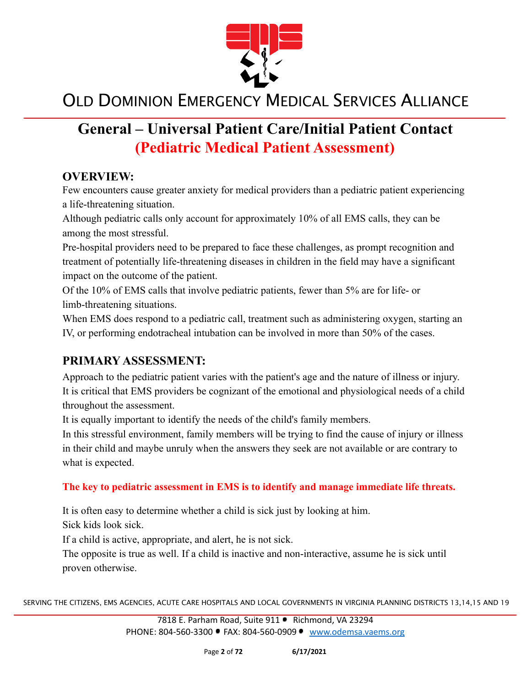

#### **General – Universal Patient Care/Initial Patient Contact (Pediatric Medical Patient Assessment)**

#### **OVERVIEW:**

Few encounters cause greater anxiety for medical providers than a pediatric patient experiencing a life-threatening situation.

Although pediatric calls only account for approximately 10% of all EMS calls, they can be among the most stressful.

Pre-hospital providers need to be prepared to face these challenges, as prompt recognition and treatment of potentially life-threatening diseases in children in the field may have a significant impact on the outcome of the patient.

Of the 10% of EMS calls that involve pediatric patients, fewer than 5% are for life- or limb-threatening situations.

When EMS does respond to a pediatric call, treatment such as administering oxygen, starting an IV, or performing endotracheal intubation can be involved in more than 50% of the cases.

#### **PRIMARY ASSESSMENT:**

Approach to the pediatric patient varies with the patient's age and the nature of illness or injury. It is critical that EMS providers be cognizant of the emotional and physiological needs of a child throughout the assessment.

It is equally important to identify the needs of the child's family members.

In this stressful environment, family members will be trying to find the cause of injury or illness in their child and maybe unruly when the answers they seek are not available or are contrary to what is expected.

#### **The key to pediatric assessment in EMS is to identify and manage immediate life threats.**

It is often easy to determine whether a child is sick just by looking at him.

Sick kids look sick.

If a child is active, appropriate, and alert, he is not sick.

The opposite is true as well. If a child is inactive and non-interactive, assume he is sick until proven otherwise.

SERVING THE CITIZENS, EMS AGENCIES, ACUTE CARE HOSPITALS AND LOCAL GOVERNMENTS IN VIRGINIA PLANNING DISTRICTS 13,14,15 AND 19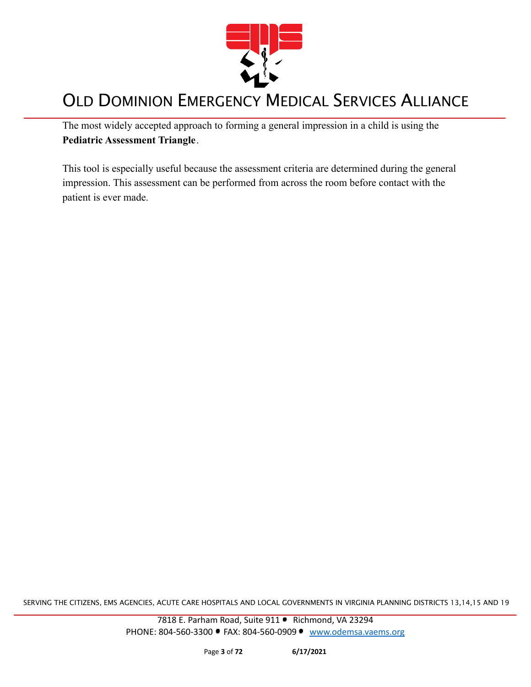

The most widely accepted approach to forming a general impression in a child is using the **Pediatric Assessment Triangle**.

This tool is especially useful because the assessment criteria are determined during the general impression. This assessment can be performed from across the room before contact with the patient is ever made.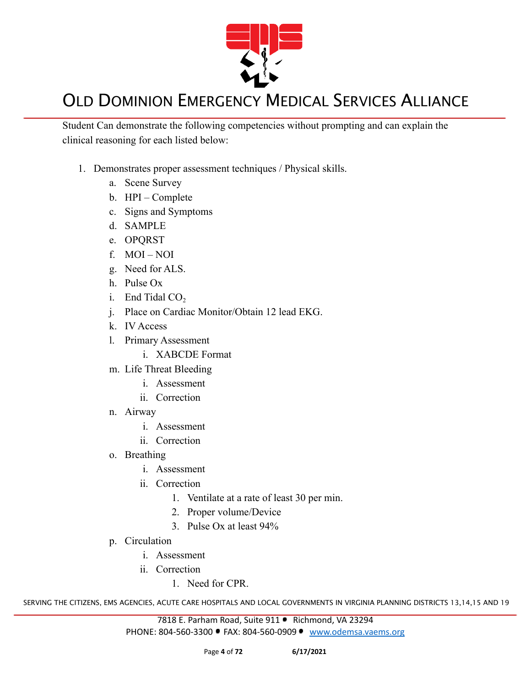

Student Can demonstrate the following competencies without prompting and can explain the clinical reasoning for each listed below:

- 1. Demonstrates proper assessment techniques / Physical skills.
	- a. Scene Survey
	- b. HPI Complete
	- c. Signs and Symptoms
	- d. SAMPLE
	- e. OPQRST
	- f. MOI NOI
	- g. Need for ALS.
	- h. Pulse Ox
	- i. End Tidal  $CO<sub>2</sub>$
	- j. Place on Cardiac Monitor/Obtain 12 lead EKG.
	- k. IV Access
	- l. Primary Assessment
		- i. XABCDE Format
	- m. Life Threat Bleeding
		- i. Assessment
		- ii. Correction
	- n. Airway
		- i. Assessment
		- ii. Correction
	- o. Breathing
		- i. Assessment
		- ii. Correction
			- 1. Ventilate at a rate of least 30 per min.
			- 2. Proper volume/Device
			- 3. Pulse Ox at least 94%
	- p. Circulation
		- i. Assessment
		- ii. Correction
			- 1. Need for CPR.

SERVING THE CITIZENS, EMS AGENCIES, ACUTE CARE HOSPITALS AND LOCAL GOVERNMENTS IN VIRGINIA PLANNING DISTRICTS 13,14,15 AND 19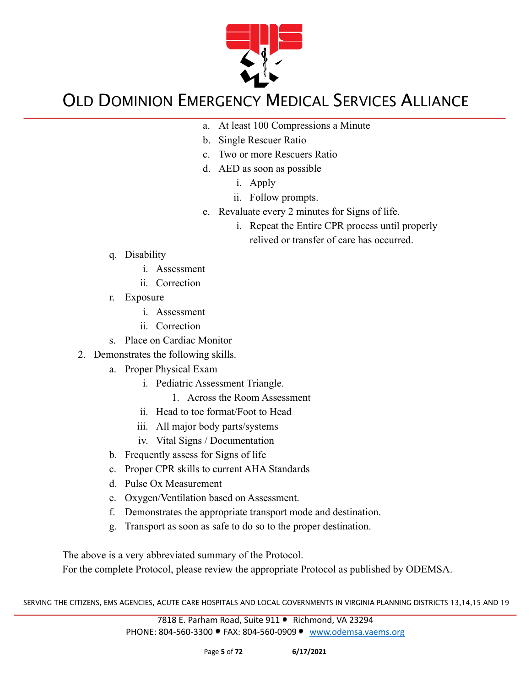

- a. At least 100 Compressions a Minute
- b. Single Rescuer Ratio
- c. Two or more Rescuers Ratio
- d. AED as soon as possible
	- i. Apply
	- ii. Follow prompts.
- e. Revaluate every 2 minutes for Signs of life.
	- i. Repeat the Entire CPR process until properly
		- relived or transfer of care has occurred.

- q. Disability
	- i. Assessment
	- ii. Correction
- r. Exposure
	- i. Assessment
	- ii. Correction
- s. Place on Cardiac Monitor
- 2. Demonstrates the following skills.
	- a. Proper Physical Exam
		- i. Pediatric Assessment Triangle.
			- 1. Across the Room Assessment
		- ii. Head to toe format/Foot to Head
		- iii. All major body parts/systems
		- iv. Vital Signs / Documentation
	- b. Frequently assess for Signs of life
	- c. Proper CPR skills to current AHA Standards
	- d. Pulse Ox Measurement
	- e. Oxygen/Ventilation based on Assessment.
	- f. Demonstrates the appropriate transport mode and destination.
	- g. Transport as soon as safe to do so to the proper destination.

The above is a very abbreviated summary of the Protocol.

For the complete Protocol, please review the appropriate Protocol as published by ODEMSA.

SERVING THE CITIZENS, EMS AGENCIES, ACUTE CARE HOSPITALS AND LOCAL GOVERNMENTS IN VIRGINIA PLANNING DISTRICTS 13,14,15 AND 19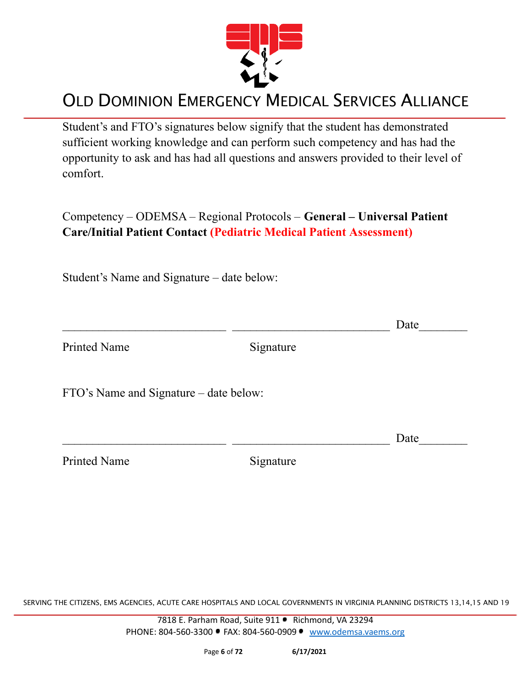

Student's and FTO's signatures below signify that the student has demonstrated sufficient working knowledge and can perform such competency and has had the opportunity to ask and has had all questions and answers provided to their level of comfort.

Competency – ODEMSA – Regional Protocols – **General – Universal Patient Care/Initial Patient Contact (Pediatric Medical Patient Assessment)**

Student's Name and Signature – date below:

|                                        |           | Date |
|----------------------------------------|-----------|------|
| <b>Printed Name</b>                    | Signature |      |
| FTO's Name and Signature – date below: |           |      |
|                                        |           | Date |
| <b>Printed Name</b>                    | Signature |      |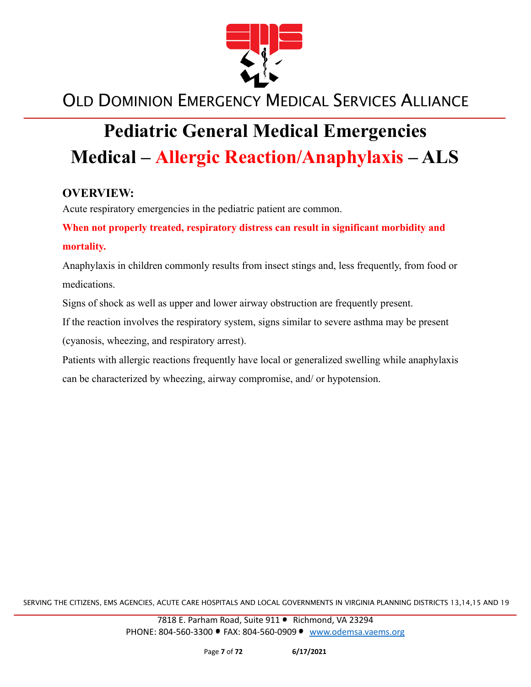

# **Pediatric General Medical Emergencies Medical – Allergic Reaction/Anaphylaxis – ALS**

#### **OVERVIEW:**

Acute respiratory emergencies in the pediatric patient are common.

#### **When not properly treated, respiratory distress can result in significant morbidity and mortality.**

Anaphylaxis in children commonly results from insect stings and, less frequently, from food or medications.

Signs of shock as well as upper and lower airway obstruction are frequently present.

If the reaction involves the respiratory system, signs similar to severe asthma may be present (cyanosis, wheezing, and respiratory arrest).

Patients with allergic reactions frequently have local or generalized swelling while anaphylaxis can be characterized by wheezing, airway compromise, and/ or hypotension.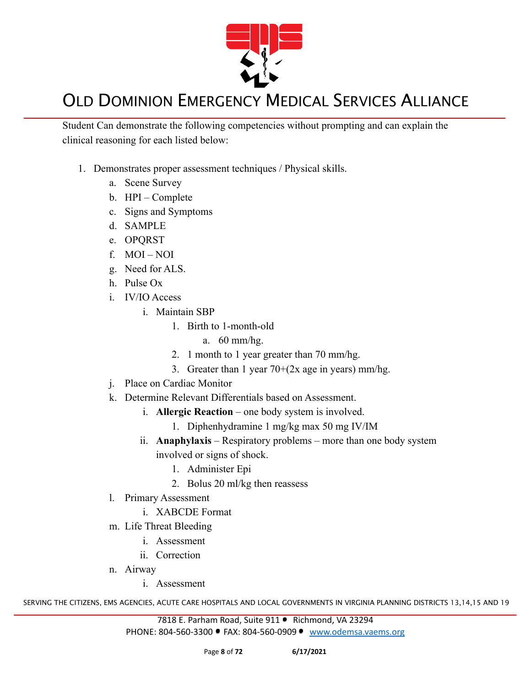

Student Can demonstrate the following competencies without prompting and can explain the clinical reasoning for each listed below:

- 1. Demonstrates proper assessment techniques / Physical skills.
	- a. Scene Survey
	- b. HPI Complete
	- c. Signs and Symptoms
	- d. SAMPLE
	- e. OPQRST
	- f. MOI NOI
	- g. Need for ALS.
	- h. Pulse Ox
	- i. IV/IO Access
		- i. Maintain SBP
			- 1. Birth to 1-month-old
				- a. 60 mm/hg.
			- 2. 1 month to 1 year greater than 70 mm/hg.
			- 3. Greater than 1 year  $70+(2x \text{ age in years})$  mm/hg.
	- j. Place on Cardiac Monitor
	- k. Determine Relevant Differentials based on Assessment.
		- i. **Allergic Reaction** one body system is involved.
			- 1. Diphenhydramine 1 mg/kg max 50 mg IV/IM
		- ii. **Anaphylaxis** Respiratory problems more than one body system involved or signs of shock.
			- 1. Administer Epi
			- 2. Bolus 20 ml/kg then reassess
	- l. Primary Assessment
		- i. XABCDE Format
	- m. Life Threat Bleeding
		- i. Assessment
		- ii. Correction
	- n. Airway
		- i. Assessment

SERVING THE CITIZENS, EMS AGENCIES, ACUTE CARE HOSPITALS AND LOCAL GOVERNMENTS IN VIRGINIA PLANNING DISTRICTS 13,14,15 AND 19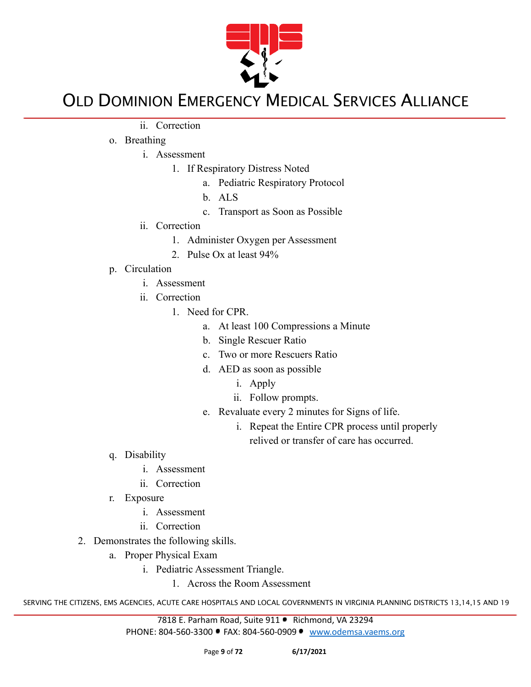

ii. Correction

#### o. Breathing

- i. Assessment
	- 1. If Respiratory Distress Noted
		- a. Pediatric Respiratory Protocol
		- b. ALS
		- c. Transport as Soon as Possible
- ii. Correction
	- 1. Administer Oxygen per Assessment
	- 2. Pulse Ox at least 94%
- p. Circulation
	- i. Assessment
	- ii. Correction
		- 1. Need for CPR.
			- a. At least 100 Compressions a Minute
			- b. Single Rescuer Ratio
			- c. Two or more Rescuers Ratio
			- d. AED as soon as possible
				- i. Apply
				- ii. Follow prompts.
			- e. Revaluate every 2 minutes for Signs of life.
				- i. Repeat the Entire CPR process until properly relived or transfer of care has occurred.
- q. Disability
	- i. Assessment
	- ii. Correction
- r. Exposure
	- i. Assessment
	- ii. Correction
- 2. Demonstrates the following skills.
	- a. Proper Physical Exam
		- i. Pediatric Assessment Triangle.
			- 1. Across the Room Assessment

SERVING THE CITIZENS, EMS AGENCIES, ACUTE CARE HOSPITALS AND LOCAL GOVERNMENTS IN VIRGINIA PLANNING DISTRICTS 13,14,15 AND 19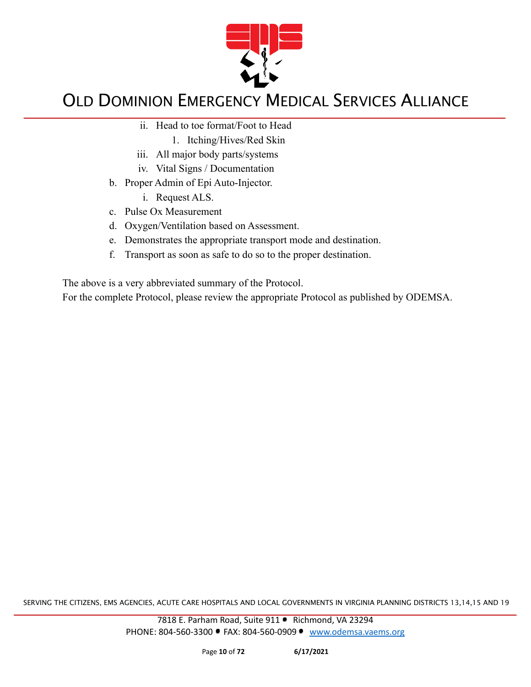

- ii. Head to toe format/Foot to Head
	- 1. Itching/Hives/Red Skin
- iii. All major body parts/systems
- iv. Vital Signs / Documentation
- b. Proper Admin of Epi Auto-Injector.
	- i. Request ALS.
- c. Pulse Ox Measurement
- d. Oxygen/Ventilation based on Assessment.
- e. Demonstrates the appropriate transport mode and destination.
- f. Transport as soon as safe to do so to the proper destination.

The above is a very abbreviated summary of the Protocol.

For the complete Protocol, please review the appropriate Protocol as published by ODEMSA.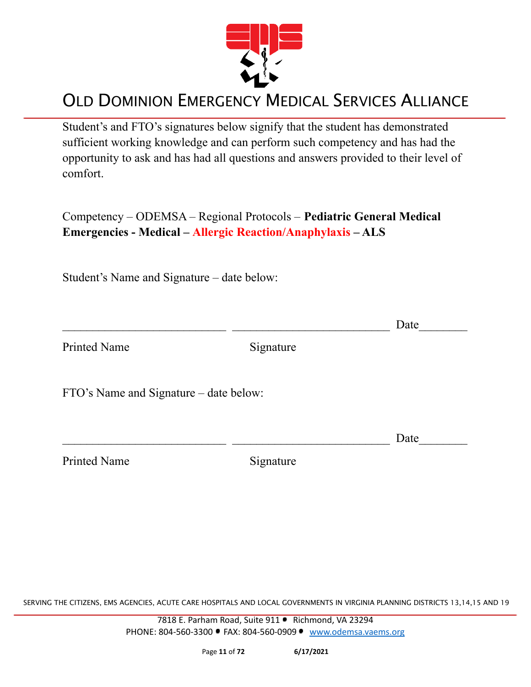

Student's and FTO's signatures below signify that the student has demonstrated sufficient working knowledge and can perform such competency and has had the opportunity to ask and has had all questions and answers provided to their level of comfort.

Competency – ODEMSA – Regional Protocols – **Pediatric General Medical Emergencies - Medical – Allergic Reaction/Anaphylaxis – ALS**

Student's Name and Signature – date below:

|                                        |           | Date |
|----------------------------------------|-----------|------|
| <b>Printed Name</b>                    | Signature |      |
| FTO's Name and Signature – date below: |           |      |
|                                        |           | Date |
| <b>Printed Name</b>                    | Signature |      |

SERVING THE CITIZENS, EMS AGENCIES, ACUTE CARE HOSPITALS AND LOCAL GOVERNMENTS IN VIRGINIA PLANNING DISTRICTS 13,14,15 AND 19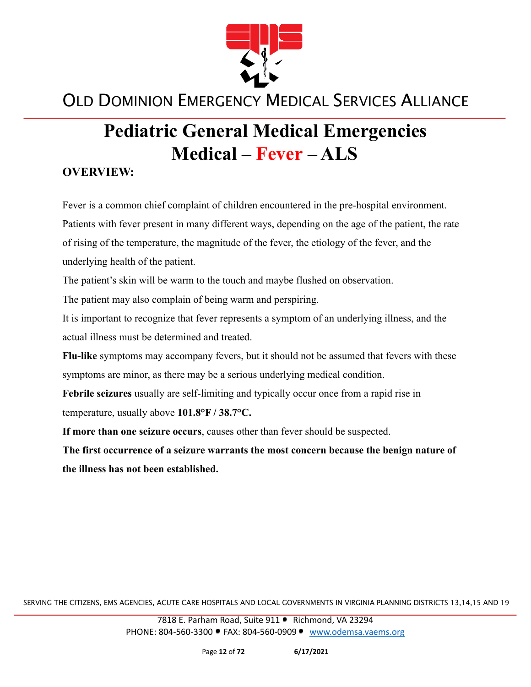

# **Pediatric General Medical Emergencies Medical – Fever – ALS**

#### **OVERVIEW:**

Fever is a common chief complaint of children encountered in the pre-hospital environment. Patients with fever present in many different ways, depending on the age of the patient, the rate of rising of the temperature, the magnitude of the fever, the etiology of the fever, and the underlying health of the patient.

The patient's skin will be warm to the touch and maybe flushed on observation.

The patient may also complain of being warm and perspiring.

It is important to recognize that fever represents a symptom of an underlying illness, and the actual illness must be determined and treated.

**Flu-like** symptoms may accompany fevers, but it should not be assumed that fevers with these symptoms are minor, as there may be a serious underlying medical condition.

**Febrile seizures** usually are self-limiting and typically occur once from a rapid rise in temperature, usually above **101.8°F / 38.7°C.**

**If more than one seizure occurs**, causes other than fever should be suspected.

**The first occurrence of a seizure warrants the most concern because the benign nature of the illness has not been established.**

SERVING THE CITIZENS, EMS AGENCIES, ACUTE CARE HOSPITALS AND LOCAL GOVERNMENTS IN VIRGINIA PLANNING DISTRICTS 13,14,15 AND 19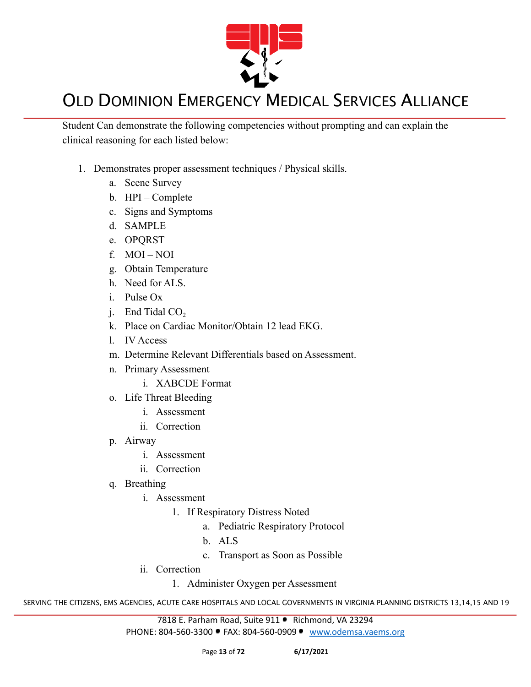

Student Can demonstrate the following competencies without prompting and can explain the clinical reasoning for each listed below:

- 1. Demonstrates proper assessment techniques / Physical skills.
	- a. Scene Survey
	- b. HPI Complete
	- c. Signs and Symptoms
	- d. SAMPLE
	- e. OPQRST
	- f. MOI NOI
	- g. Obtain Temperature
	- h. Need for ALS.
	- i. Pulse Ox
	- j. End Tidal  $CO<sub>2</sub>$
	- k. Place on Cardiac Monitor/Obtain 12 lead EKG.
	- l. IV Access
	- m. Determine Relevant Differentials based on Assessment.
	- n. Primary Assessment
		- i. XABCDE Format
	- o. Life Threat Bleeding
		- i. Assessment
		- ii. Correction
	- p. Airway
		- i. Assessment
		- ii. Correction
	- q. Breathing
		- i. Assessment
			- 1. If Respiratory Distress Noted
				- a. Pediatric Respiratory Protocol
				- b. ALS
				- c. Transport as Soon as Possible
		- ii. Correction
			- 1. Administer Oxygen per Assessment

SERVING THE CITIZENS, EMS AGENCIES, ACUTE CARE HOSPITALS AND LOCAL GOVERNMENTS IN VIRGINIA PLANNING DISTRICTS 13,14,15 AND 19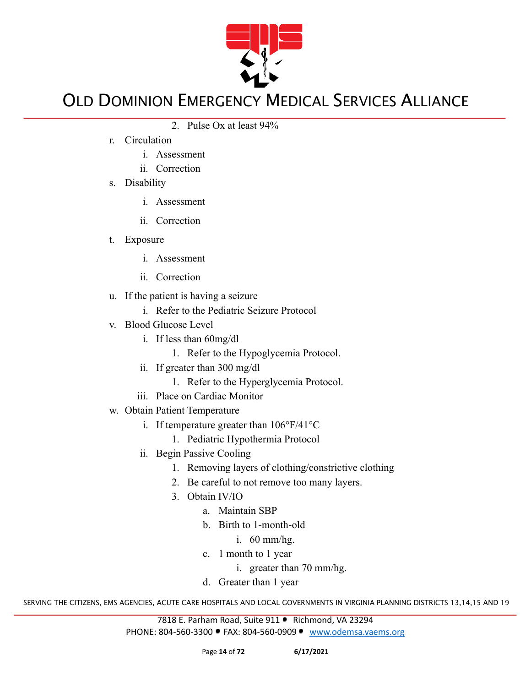

- 2. Pulse Ox at least 94%
- r. Circulation
	- i. Assessment
	- ii. Correction
- s. Disability
	- i. Assessment
	- ii. Correction
- t. Exposure
	- i. Assessment
	- ii. Correction
- u. If the patient is having a seizure
	- i. Refer to the Pediatric Seizure Protocol
- v. Blood Glucose Level
	- i. If less than 60mg/dl
		- 1. Refer to the Hypoglycemia Protocol.
	- ii. If greater than 300 mg/dl
		- 1. Refer to the Hyperglycemia Protocol.
	- iii. Place on Cardiac Monitor
- w. Obtain Patient Temperature
	- i. If temperature greater than 106°F/41°C
		- 1. Pediatric Hypothermia Protocol
	- ii. Begin Passive Cooling
		- 1. Removing layers of clothing/constrictive clothing
		- 2. Be careful to not remove too many layers.
		- 3. Obtain IV/IO
			- a. Maintain SBP
			- b. Birth to 1-month-old
				- i. 60 mm/hg.
			- c. 1 month to 1 year
				- i. greater than 70 mm/hg.
			- d. Greater than 1 year

SERVING THE CITIZENS, EMS AGENCIES, ACUTE CARE HOSPITALS AND LOCAL GOVERNMENTS IN VIRGINIA PLANNING DISTRICTS 13,14,15 AND 19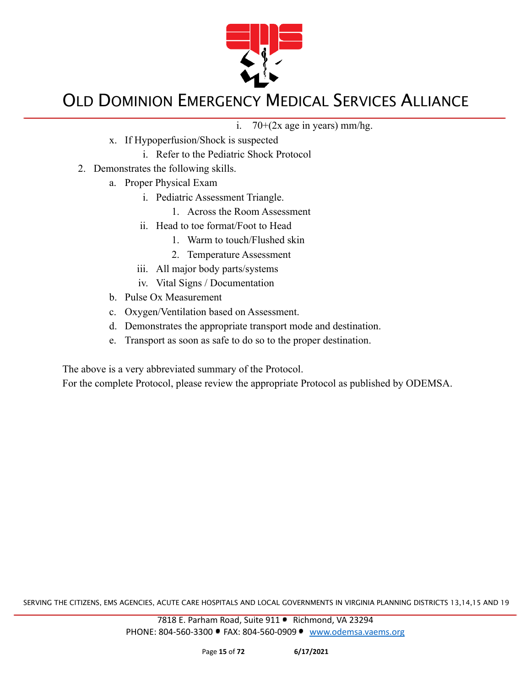

- i.  $70+(2x \text{ age in years}) \text{ mm/hg.}$
- x. If Hypoperfusion/Shock is suspected
	- i. Refer to the Pediatric Shock Protocol
- 2. Demonstrates the following skills.
	- a. Proper Physical Exam
		- i. Pediatric Assessment Triangle.
			- 1. Across the Room Assessment
		- ii. Head to toe format/Foot to Head
			- 1. Warm to touch/Flushed skin
			- 2. Temperature Assessment
		- iii. All major body parts/systems
		- iv. Vital Signs / Documentation
	- b. Pulse Ox Measurement
	- c. Oxygen/Ventilation based on Assessment.
	- d. Demonstrates the appropriate transport mode and destination.
	- e. Transport as soon as safe to do so to the proper destination.

The above is a very abbreviated summary of the Protocol.

For the complete Protocol, please review the appropriate Protocol as published by ODEMSA.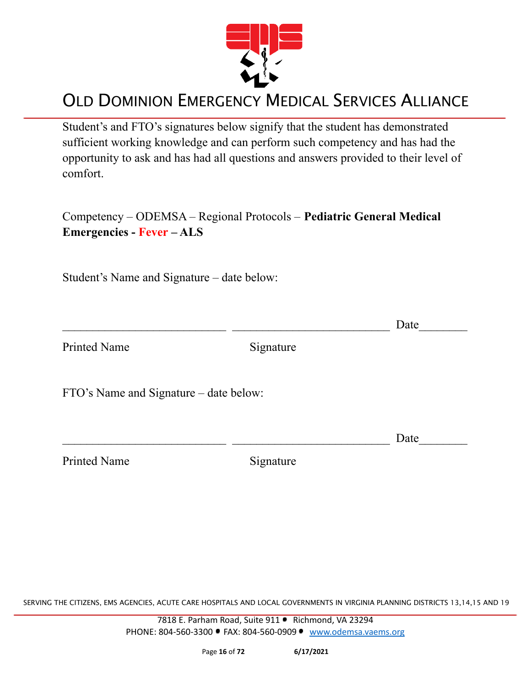

Student's and FTO's signatures below signify that the student has demonstrated sufficient working knowledge and can perform such competency and has had the opportunity to ask and has had all questions and answers provided to their level of comfort.

Competency – ODEMSA – Regional Protocols – **Pediatric General Medical Emergencies - Fever – ALS**

Student's Name and Signature – date below:

|                                        |           | Date |
|----------------------------------------|-----------|------|
| <b>Printed Name</b>                    | Signature |      |
| FTO's Name and Signature – date below: |           |      |
|                                        |           | Date |

Printed Name Signature

SERVING THE CITIZENS, EMS AGENCIES, ACUTE CARE HOSPITALS AND LOCAL GOVERNMENTS IN VIRGINIA PLANNING DISTRICTS 13,14,15 AND 19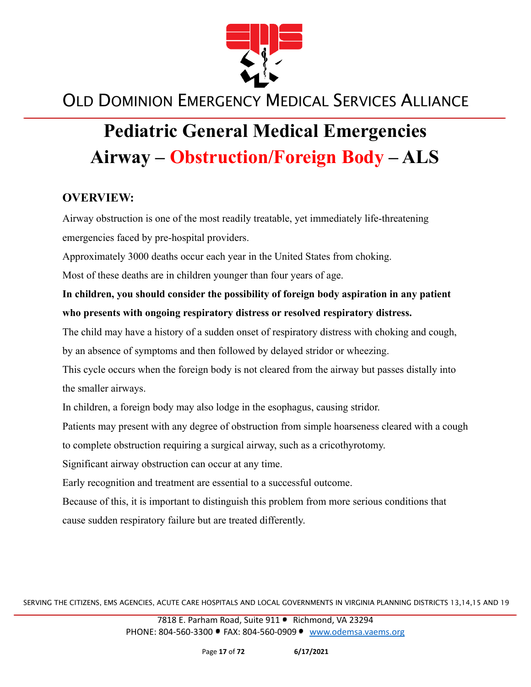

# **Pediatric General Medical Emergencies Airway – Obstruction/Foreign Body – ALS**

#### **OVERVIEW:**

Airway obstruction is one of the most readily treatable, yet immediately life-threatening emergencies faced by pre-hospital providers.

Approximately 3000 deaths occur each year in the United States from choking.

Most of these deaths are in children younger than four years of age.

**In children, you should consider the possibility of foreign body aspiration in any patient who presents with ongoing respiratory distress or resolved respiratory distress.**

The child may have a history of a sudden onset of respiratory distress with choking and cough,

by an absence of symptoms and then followed by delayed stridor or wheezing.

This cycle occurs when the foreign body is not cleared from the airway but passes distally into the smaller airways.

In children, a foreign body may also lodge in the esophagus, causing stridor.

Patients may present with any degree of obstruction from simple hoarseness cleared with a cough

to complete obstruction requiring a surgical airway, such as a cricothyrotomy.

Significant airway obstruction can occur at any time.

Early recognition and treatment are essential to a successful outcome.

Because of this, it is important to distinguish this problem from more serious conditions that cause sudden respiratory failure but are treated differently.

SERVING THE CITIZENS, EMS AGENCIES, ACUTE CARE HOSPITALS AND LOCAL GOVERNMENTS IN VIRGINIA PLANNING DISTRICTS 13,14,15 AND 19

7818 E. Parham Road, Suite 911 · Richmond, VA 23294 PHONE: 804-560-3300 FAX: 804-560-0909 [www.odemsa.vaems.org](http://www.odemsa.vaems.org)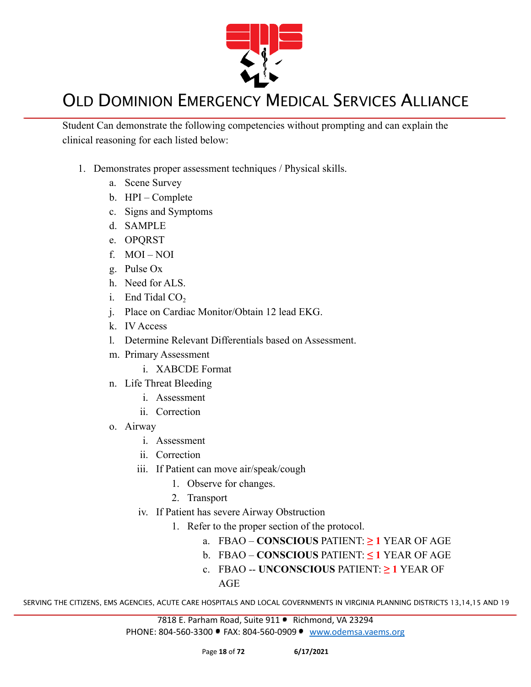

Student Can demonstrate the following competencies without prompting and can explain the clinical reasoning for each listed below:

- 1. Demonstrates proper assessment techniques / Physical skills.
	- a. Scene Survey
	- b. HPI Complete
	- c. Signs and Symptoms
	- d. SAMPLE
	- e. OPQRST
	- f. MOI NOI
	- g. Pulse Ox
	- h. Need for ALS.
	- i. End Tidal  $CO<sub>2</sub>$
	- j. Place on Cardiac Monitor/Obtain 12 lead EKG.
	- k. IV Access
	- l. Determine Relevant Differentials based on Assessment.
	- m. Primary Assessment
		- i. XABCDE Format
	- n. Life Threat Bleeding
		- i. Assessment
		- ii. Correction
	- o. Airway
		- i. Assessment
		- ii. Correction
		- iii. If Patient can move air/speak/cough
			- 1. Observe for changes.
			- 2. Transport
		- iv. If Patient has severe Airway Obstruction
			- 1. Refer to the proper section of the protocol.
				- a. FBAO **CONSCIOUS** PATIENT: **≥ 1** YEAR OF AGE
				- b. FBAO **CONSCIOUS** PATIENT: **≤ 1** YEAR OF AGE
				- c. FBAO -- **UNCONSCIOUS** PATIENT: **≥ 1** YEAR OF

AGE

SERVING THE CITIZENS, EMS AGENCIES, ACUTE CARE HOSPITALS AND LOCAL GOVERNMENTS IN VIRGINIA PLANNING DISTRICTS 13,14,15 AND 19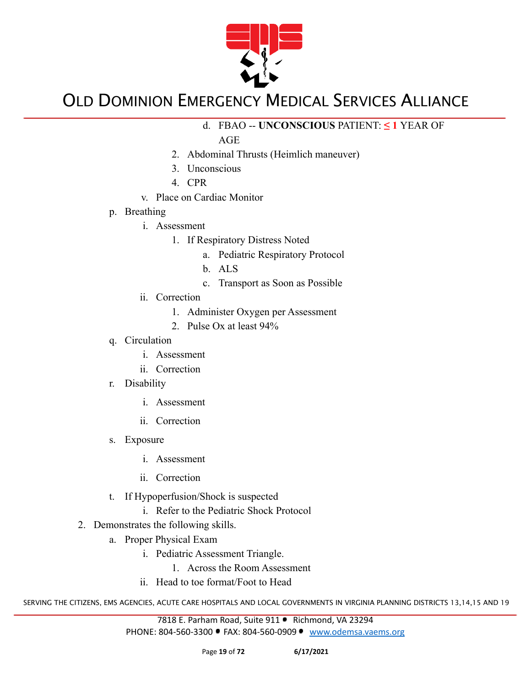

d. FBAO -- **UNCONSCIOUS** PATIENT: **≤ 1** YEAR OF

AGE

- 2. Abdominal Thrusts (Heimlich maneuver)
- 3. Unconscious
- 4. CPR
- v. Place on Cardiac Monitor

#### p. Breathing

- i. Assessment
	- 1. If Respiratory Distress Noted
		- a. Pediatric Respiratory Protocol
		- b. ALS
		- c. Transport as Soon as Possible
- ii. Correction
	- 1. Administer Oxygen per Assessment
	- 2. Pulse Ox at least 94%
- q. Circulation
	- i. Assessment
	- ii. Correction
- r. Disability
	- i. Assessment
	- ii. Correction
- s. Exposure
	- i. Assessment
	- ii. Correction
- t. If Hypoperfusion/Shock is suspected
	- i. Refer to the Pediatric Shock Protocol
- 2. Demonstrates the following skills.
	- a. Proper Physical Exam
		- i. Pediatric Assessment Triangle.
			- 1. Across the Room Assessment
		- ii. Head to toe format/Foot to Head

SERVING THE CITIZENS, EMS AGENCIES, ACUTE CARE HOSPITALS AND LOCAL GOVERNMENTS IN VIRGINIA PLANNING DISTRICTS 13,14,15 AND 19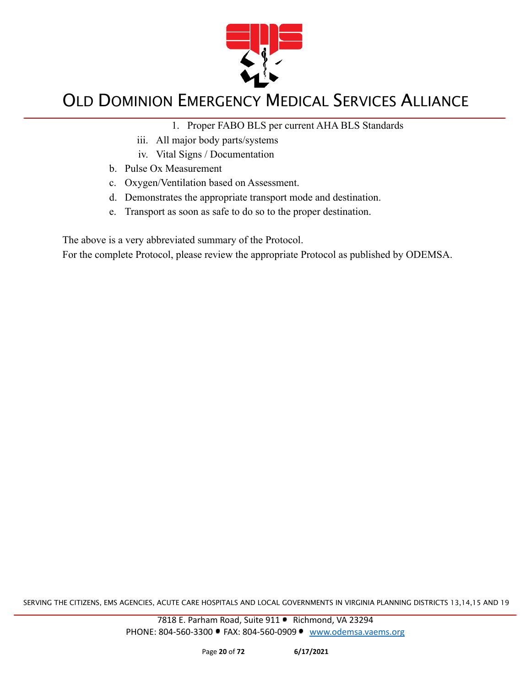

- 1. Proper FABO BLS per current AHA BLS Standards
- iii. All major body parts/systems
- iv. Vital Signs / Documentation
- b. Pulse Ox Measurement
- c. Oxygen/Ventilation based on Assessment.
- d. Demonstrates the appropriate transport mode and destination.
- e. Transport as soon as safe to do so to the proper destination.

The above is a very abbreviated summary of the Protocol.

For the complete Protocol, please review the appropriate Protocol as published by ODEMSA.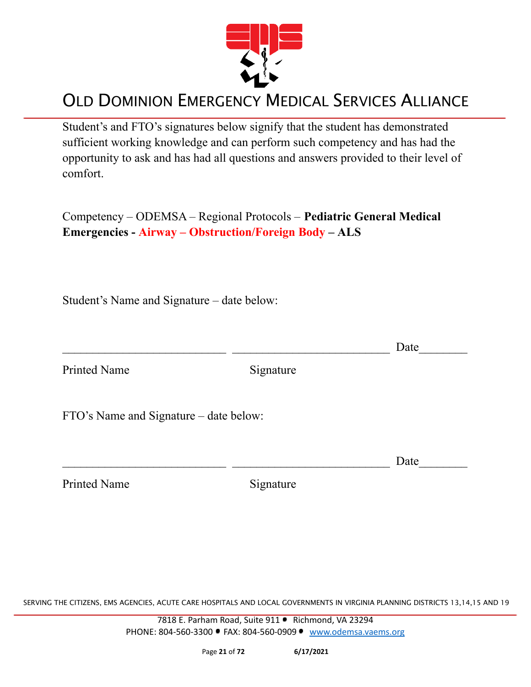

Student's and FTO's signatures below signify that the student has demonstrated sufficient working knowledge and can perform such competency and has had the opportunity to ask and has had all questions and answers provided to their level of comfort.

Competency – ODEMSA – Regional Protocols – **Pediatric General Medical Emergencies - Airway – Obstruction/Foreign Body – ALS**

Student's Name and Signature – date below:

 $\Box$  Date Printed Name Signature FTO's Name and Signature – date below:  $\Box$  Date Printed Name Signature

SERVING THE CITIZENS, EMS AGENCIES, ACUTE CARE HOSPITALS AND LOCAL GOVERNMENTS IN VIRGINIA PLANNING DISTRICTS 13,14,15 AND 19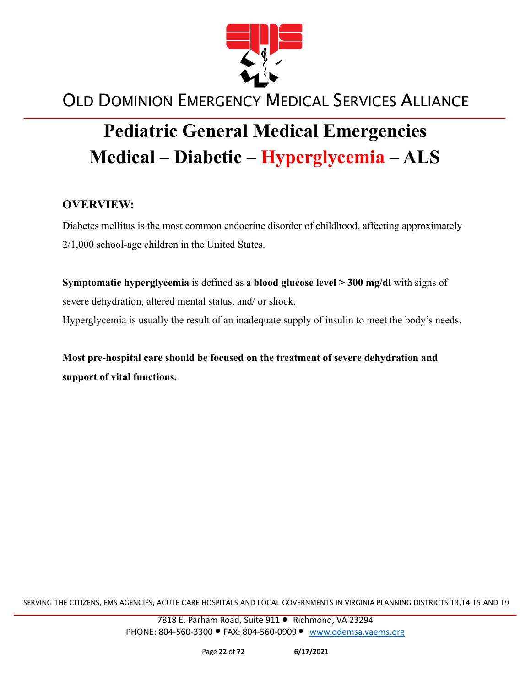

# **Pediatric General Medical Emergencies Medical – Diabetic – Hyperglycemia – ALS**

#### **OVERVIEW:**

Diabetes mellitus is the most common endocrine disorder of childhood, affecting approximately 2/1,000 school-age children in the United States.

**Symptomatic hyperglycemia** is defined as a **blood glucose level > 300 mg/dl** with signs of severe dehydration, altered mental status, and/ or shock.

Hyperglycemia is usually the result of an inadequate supply of insulin to meet the body's needs.

**Most pre-hospital care should be focused on the treatment of severe dehydration and support of vital functions.**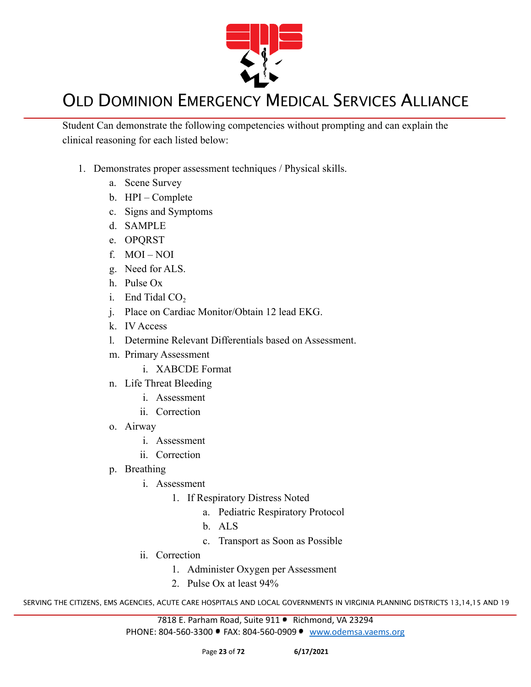

Student Can demonstrate the following competencies without prompting and can explain the clinical reasoning for each listed below:

- 1. Demonstrates proper assessment techniques / Physical skills.
	- a. Scene Survey
	- b. HPI Complete
	- c. Signs and Symptoms
	- d. SAMPLE
	- e. OPQRST
	- f. MOI NOI
	- g. Need for ALS.
	- h. Pulse Ox
	- i. End Tidal  $CO<sub>2</sub>$
	- j. Place on Cardiac Monitor/Obtain 12 lead EKG.
	- k. IV Access
	- l. Determine Relevant Differentials based on Assessment.
	- m. Primary Assessment
		- i. XABCDE Format
	- n. Life Threat Bleeding
		- i. Assessment
		- ii. Correction
	- o. Airway
		- i. Assessment
		- ii. Correction
	- p. Breathing
		- i. Assessment
			- 1. If Respiratory Distress Noted
				- a. Pediatric Respiratory Protocol
				- b. ALS
				- c. Transport as Soon as Possible
		- ii. Correction
			- 1. Administer Oxygen per Assessment
			- 2. Pulse Ox at least 94%

SERVING THE CITIZENS, EMS AGENCIES, ACUTE CARE HOSPITALS AND LOCAL GOVERNMENTS IN VIRGINIA PLANNING DISTRICTS 13,14,15 AND 19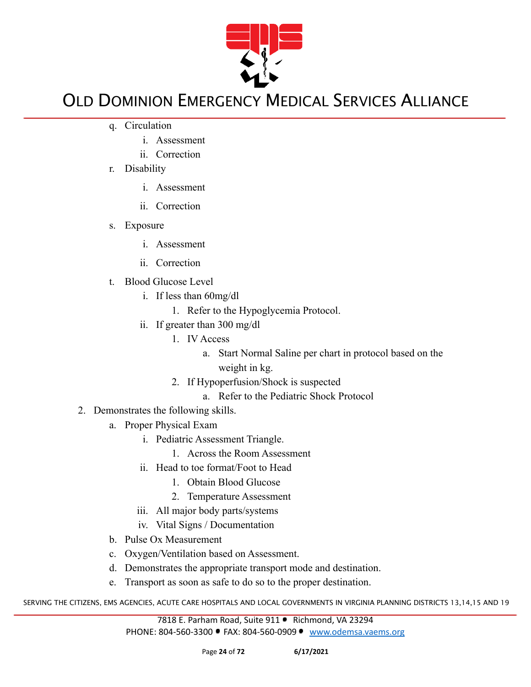

- q. Circulation
	- i. Assessment
	- ii. Correction
- r. Disability
	- i. Assessment
	- ii. Correction
- s. Exposure
	- i. Assessment
	- ii. Correction
- t. Blood Glucose Level
	- i. If less than 60mg/dl
		- 1. Refer to the Hypoglycemia Protocol.
	- ii. If greater than 300 mg/dl
		- 1. IV Access
			- a. Start Normal Saline per chart in protocol based on the weight in kg.
		- 2. If Hypoperfusion/Shock is suspected
			- a. Refer to the Pediatric Shock Protocol
- 2. Demonstrates the following skills.
	- a. Proper Physical Exam
		- i. Pediatric Assessment Triangle.
			- 1. Across the Room Assessment
		- ii. Head to toe format/Foot to Head
			- 1. Obtain Blood Glucose
			- 2. Temperature Assessment
		- iii. All major body parts/systems
		- iv. Vital Signs / Documentation
	- b. Pulse Ox Measurement
	- c. Oxygen/Ventilation based on Assessment.
	- d. Demonstrates the appropriate transport mode and destination.
	- e. Transport as soon as safe to do so to the proper destination.

SERVING THE CITIZENS, EMS AGENCIES, ACUTE CARE HOSPITALS AND LOCAL GOVERNMENTS IN VIRGINIA PLANNING DISTRICTS 13,14,15 AND 19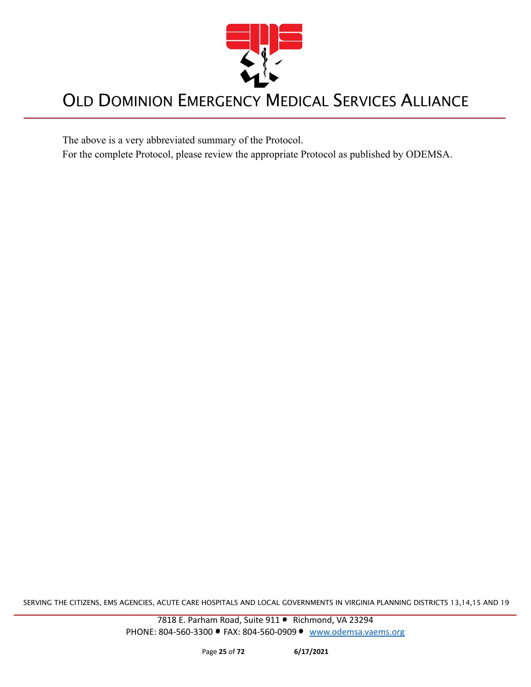

The above is a very abbreviated summary of the Protocol.

For the complete Protocol, please review the appropriate Protocol as published by ODEMSA.

SERVING THE CITIZENS, EMS AGENCIES, ACUTE CARE HOSPITALS AND LOCAL GOVERNMENTS IN VIRGINIA PLANNING DISTRICTS 13,14,15 AND 19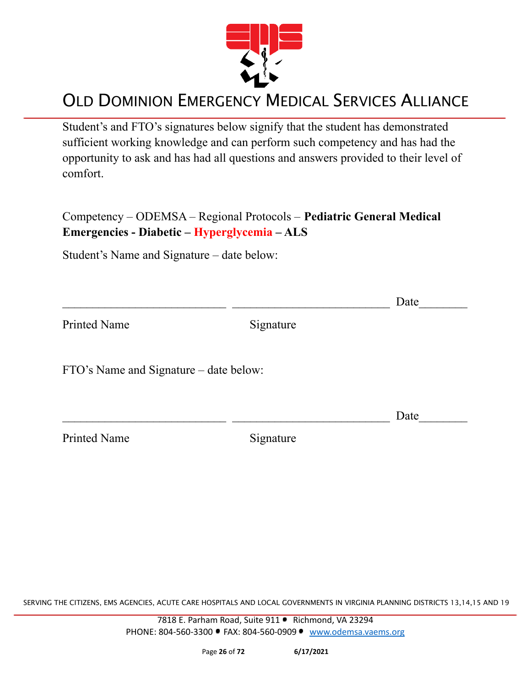

Student's and FTO's signatures below signify that the student has demonstrated sufficient working knowledge and can perform such competency and has had the opportunity to ask and has had all questions and answers provided to their level of comfort.

Competency – ODEMSA – Regional Protocols – **Pediatric General Medical Emergencies - Diabetic – Hyperglycemia – ALS**

Student's Name and Signature – date below:

|                                        |           | Date |
|----------------------------------------|-----------|------|
| <b>Printed Name</b>                    | Signature |      |
| FTO's Name and Signature – date below: |           |      |
|                                        |           | Date |
| <b>Printed Name</b>                    | Signature |      |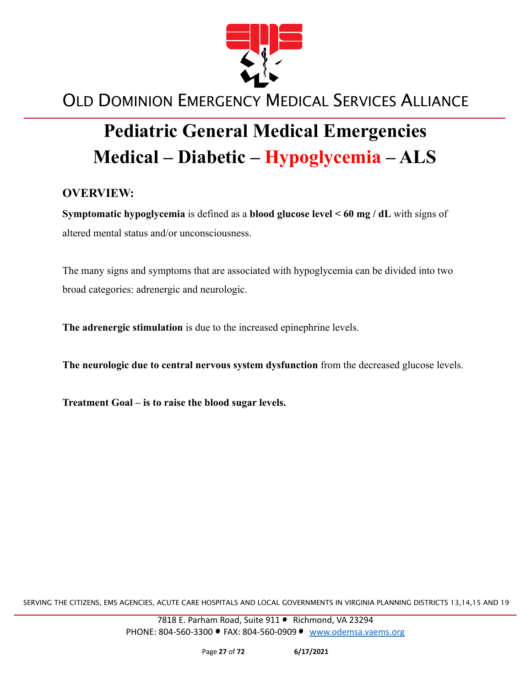

# **Pediatric General Medical Emergencies Medical – Diabetic – Hypoglycemia – ALS**

#### **OVERVIEW:**

**Symptomatic hypoglycemia** is defined as a **blood glucose level < 60 mg / dL** with signs of altered mental status and/or unconsciousness.

The many signs and symptoms that are associated with hypoglycemia can be divided into two broad categories: adrenergic and neurologic.

**The adrenergic stimulation** is due to the increased epinephrine levels.

**The neurologic due to central nervous system dysfunction** from the decreased glucose levels.

**Treatment Goal – is to raise the blood sugar levels.**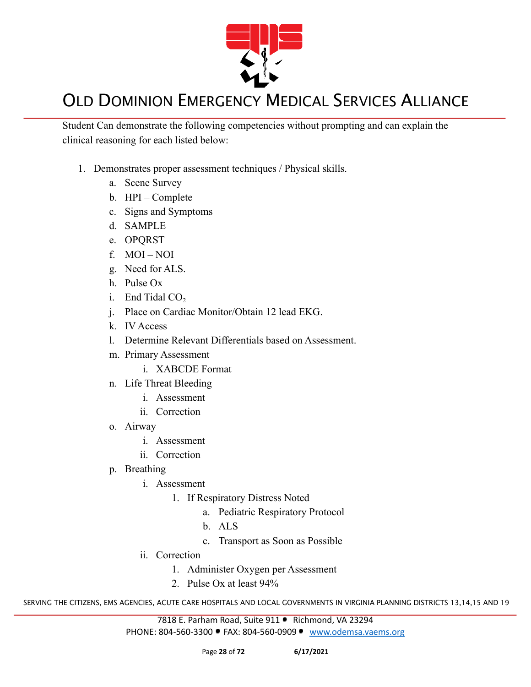

Student Can demonstrate the following competencies without prompting and can explain the clinical reasoning for each listed below:

- 1. Demonstrates proper assessment techniques / Physical skills.
	- a. Scene Survey
	- b. HPI Complete
	- c. Signs and Symptoms
	- d. SAMPLE
	- e. OPQRST
	- f. MOI NOI
	- g. Need for ALS.
	- h. Pulse Ox
	- i. End Tidal  $CO<sub>2</sub>$
	- j. Place on Cardiac Monitor/Obtain 12 lead EKG.
	- k. IV Access
	- l. Determine Relevant Differentials based on Assessment.
	- m. Primary Assessment
		- i. XABCDE Format
	- n. Life Threat Bleeding
		- i. Assessment
		- ii. Correction
	- o. Airway
		- i. Assessment
		- ii. Correction
	- p. Breathing
		- i. Assessment
			- 1. If Respiratory Distress Noted
				- a. Pediatric Respiratory Protocol
				- b. ALS
				- c. Transport as Soon as Possible
		- ii. Correction
			- 1. Administer Oxygen per Assessment
			- 2. Pulse Ox at least 94%

SERVING THE CITIZENS, EMS AGENCIES, ACUTE CARE HOSPITALS AND LOCAL GOVERNMENTS IN VIRGINIA PLANNING DISTRICTS 13,14,15 AND 19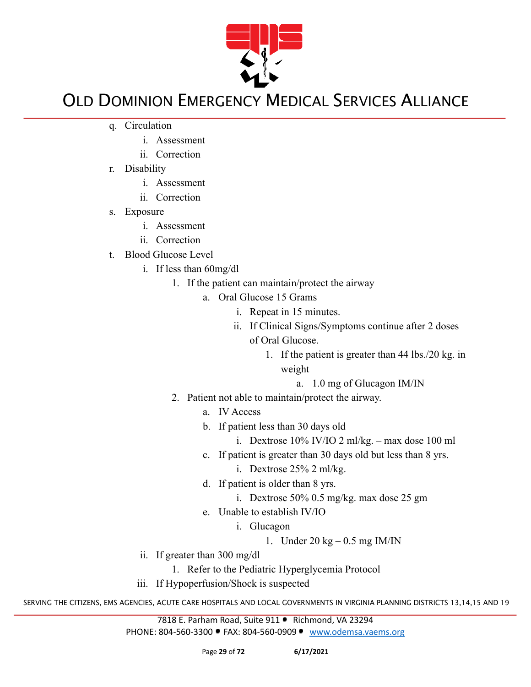

- q. Circulation
	- i. Assessment
	- ii. Correction
- r. Disability
	- i. Assessment
	- ii. Correction
- s. Exposure
	- i. Assessment
	- ii. Correction
- t. Blood Glucose Level
	- i. If less than 60mg/dl
		- 1. If the patient can maintain/protect the airway
			- a. Oral Glucose 15 Grams
				- i. Repeat in 15 minutes.
				- ii. If Clinical Signs/Symptoms continue after 2 doses of Oral Glucose.
					- 1. If the patient is greater than 44 lbs./20 kg. in weight
						- a. 1.0 mg of Glucagon IM/IN
		- 2. Patient not able to maintain/protect the airway.
			- a. IV Access
			- b. If patient less than 30 days old
				- i. Dextrose 10% IV/IO 2 ml/kg. max dose 100 ml
			- c. If patient is greater than 30 days old but less than 8 yrs.
				- i. Dextrose 25% 2 ml/kg.
			- d. If patient is older than 8 yrs.
				- i. Dextrose 50% 0.5 mg/kg. max dose 25 gm
			- e. Unable to establish IV/IO
				- i. Glucagon

1. Under  $20 \text{ kg} - 0.5 \text{ mg}$  IM/IN

- ii. If greater than 300 mg/dl
	- 1. Refer to the Pediatric Hyperglycemia Protocol
- iii. If Hypoperfusion/Shock is suspected

SERVING THE CITIZENS, EMS AGENCIES, ACUTE CARE HOSPITALS AND LOCAL GOVERNMENTS IN VIRGINIA PLANNING DISTRICTS 13,14,15 AND 19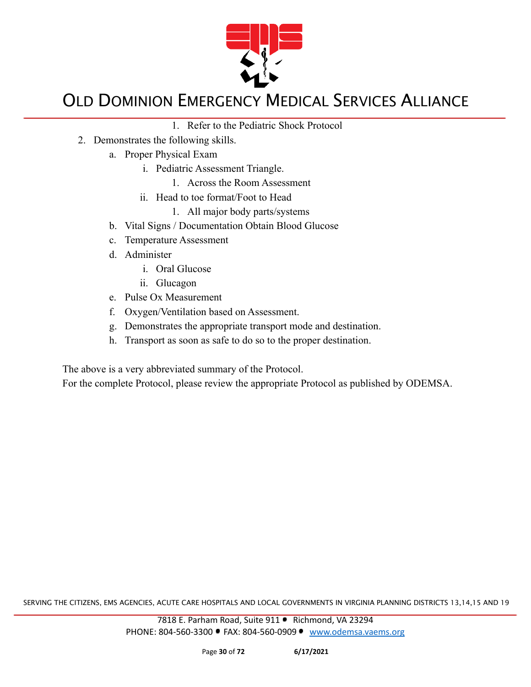

- 1. Refer to the Pediatric Shock Protocol
- 2. Demonstrates the following skills.
	- a. Proper Physical Exam
		- i. Pediatric Assessment Triangle.
			- 1. Across the Room Assessment
		- ii. Head to toe format/Foot to Head
			- 1. All major body parts/systems
	- b. Vital Signs / Documentation Obtain Blood Glucose
	- c. Temperature Assessment
	- d. Administer
		- i. Oral Glucose
		- ii. Glucagon
	- e. Pulse Ox Measurement
	- f. Oxygen/Ventilation based on Assessment.
	- g. Demonstrates the appropriate transport mode and destination.
	- h. Transport as soon as safe to do so to the proper destination.

The above is a very abbreviated summary of the Protocol.

For the complete Protocol, please review the appropriate Protocol as published by ODEMSA.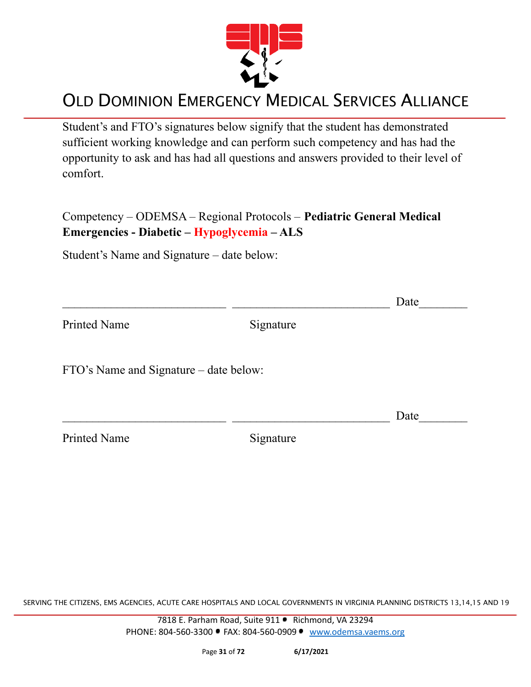

Student's and FTO's signatures below signify that the student has demonstrated sufficient working knowledge and can perform such competency and has had the opportunity to ask and has had all questions and answers provided to their level of comfort.

Competency – ODEMSA – Regional Protocols – **Pediatric General Medical Emergencies - Diabetic – Hypoglycemia – ALS**

Student's Name and Signature – date below:

|                                        |           | Date |
|----------------------------------------|-----------|------|
| <b>Printed Name</b>                    | Signature |      |
| FTO's Name and Signature – date below: |           |      |
|                                        |           | Date |
| <b>Printed Name</b>                    | Signature |      |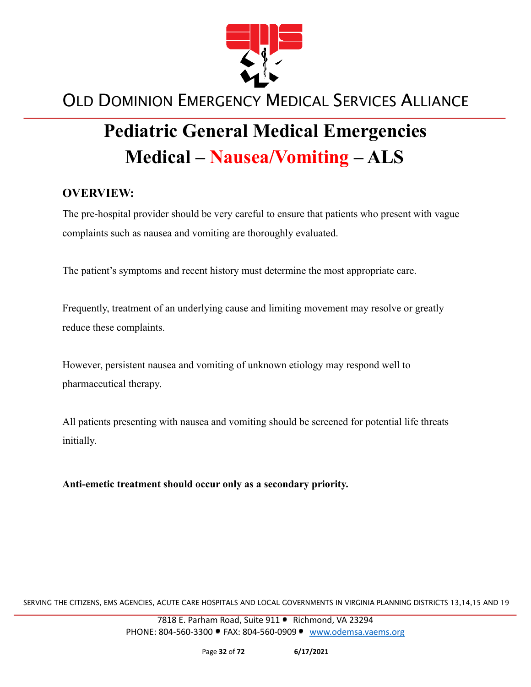

# **Pediatric General Medical Emergencies Medical – Nausea/Vomiting – ALS**

#### **OVERVIEW:**

The pre-hospital provider should be very careful to ensure that patients who present with vague complaints such as nausea and vomiting are thoroughly evaluated.

The patient's symptoms and recent history must determine the most appropriate care.

Frequently, treatment of an underlying cause and limiting movement may resolve or greatly reduce these complaints.

However, persistent nausea and vomiting of unknown etiology may respond well to pharmaceutical therapy.

All patients presenting with nausea and vomiting should be screened for potential life threats initially.

**Anti-emetic treatment should occur only as a secondary priority.**

SERVING THE CITIZENS, EMS AGENCIES, ACUTE CARE HOSPITALS AND LOCAL GOVERNMENTS IN VIRGINIA PLANNING DISTRICTS 13,14,15 AND 19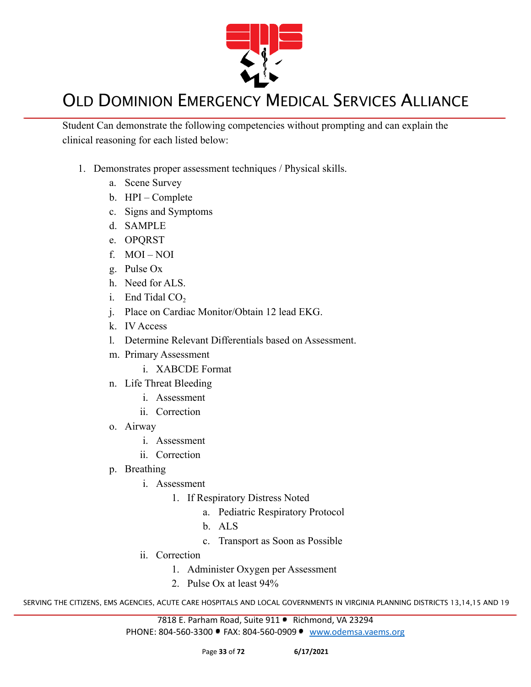

Student Can demonstrate the following competencies without prompting and can explain the clinical reasoning for each listed below:

- 1. Demonstrates proper assessment techniques / Physical skills.
	- a. Scene Survey
	- b. HPI Complete
	- c. Signs and Symptoms
	- d. SAMPLE
	- e. OPQRST
	- f. MOI NOI
	- g. Pulse Ox
	- h. Need for ALS.
	- i. End Tidal  $CO<sub>2</sub>$
	- j. Place on Cardiac Monitor/Obtain 12 lead EKG.
	- k. IV Access
	- l. Determine Relevant Differentials based on Assessment.
	- m. Primary Assessment
		- i. XABCDE Format
	- n. Life Threat Bleeding
		- i. Assessment
		- ii. Correction
	- o. Airway
		- i. Assessment
		- ii. Correction
	- p. Breathing
		- i. Assessment
			- 1. If Respiratory Distress Noted
				- a. Pediatric Respiratory Protocol
				- b. ALS
				- c. Transport as Soon as Possible
		- ii. Correction
			- 1. Administer Oxygen per Assessment
			- 2. Pulse Ox at least 94%

SERVING THE CITIZENS, EMS AGENCIES, ACUTE CARE HOSPITALS AND LOCAL GOVERNMENTS IN VIRGINIA PLANNING DISTRICTS 13,14,15 AND 19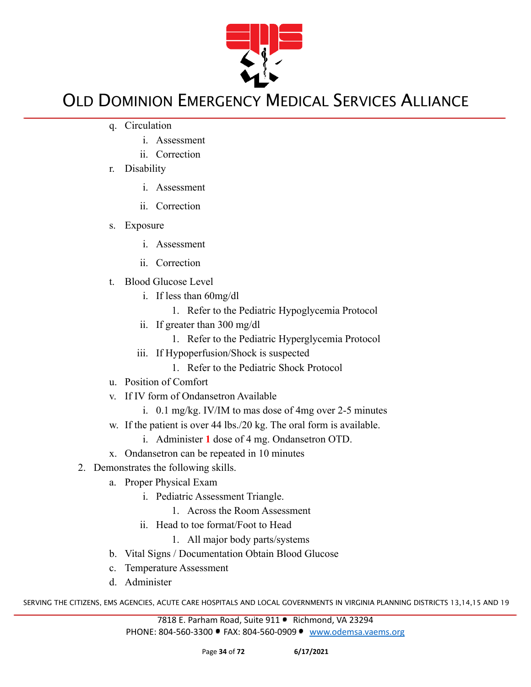

- q. Circulation
	- i. Assessment
	- ii. Correction
- r. Disability
	- i. Assessment
	- ii. Correction
- s. Exposure
	- i. Assessment
	- ii. Correction
- t. Blood Glucose Level
	- i. If less than 60mg/dl
		- 1. Refer to the Pediatric Hypoglycemia Protocol
	- ii. If greater than 300 mg/dl
		- 1. Refer to the Pediatric Hyperglycemia Protocol
	- iii. If Hypoperfusion/Shock is suspected
		- 1. Refer to the Pediatric Shock Protocol
- u. Position of Comfort
- v. If IV form of Ondansetron Available
	- i. 0.1 mg/kg. IV/IM to mas dose of 4mg over 2-5 minutes
- w. If the patient is over 44 lbs./20 kg. The oral form is available.
	- i. Administer **1** dose of 4 mg. Ondansetron OTD.
- x. Ondansetron can be repeated in 10 minutes
- 2. Demonstrates the following skills.
	- a. Proper Physical Exam
		- i. Pediatric Assessment Triangle.
			- 1. Across the Room Assessment
		- ii. Head to toe format/Foot to Head
			- 1. All major body parts/systems
	- b. Vital Signs / Documentation Obtain Blood Glucose
	- c. Temperature Assessment
	- d. Administer

SERVING THE CITIZENS, EMS AGENCIES, ACUTE CARE HOSPITALS AND LOCAL GOVERNMENTS IN VIRGINIA PLANNING DISTRICTS 13,14,15 AND 19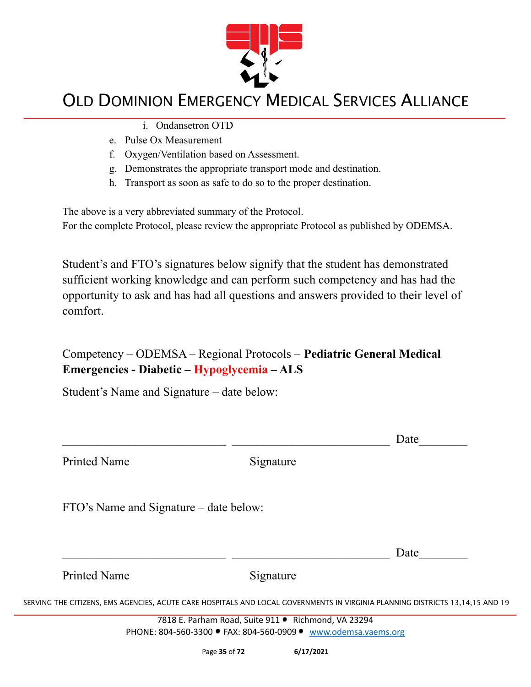

- i. Ondansetron OTD
- e. Pulse Ox Measurement
- f. Oxygen/Ventilation based on Assessment.
- g. Demonstrates the appropriate transport mode and destination.
- h. Transport as soon as safe to do so to the proper destination.

The above is a very abbreviated summary of the Protocol.

For the complete Protocol, please review the appropriate Protocol as published by ODEMSA.

Student's and FTO's signatures below signify that the student has demonstrated sufficient working knowledge and can perform such competency and has had the opportunity to ask and has had all questions and answers provided to their level of comfort.

#### Competency – ODEMSA – Regional Protocols – **Pediatric General Medical Emergencies - Diabetic – Hypoglycemia – ALS**

Student's Name and Signature – date below:

| <b>Printed Name</b>                    | Signature |      |
|----------------------------------------|-----------|------|
|                                        |           |      |
| FTO's Name and Signature – date below: |           |      |
|                                        |           | Date |
| <b>Printed Name</b>                    | Signature |      |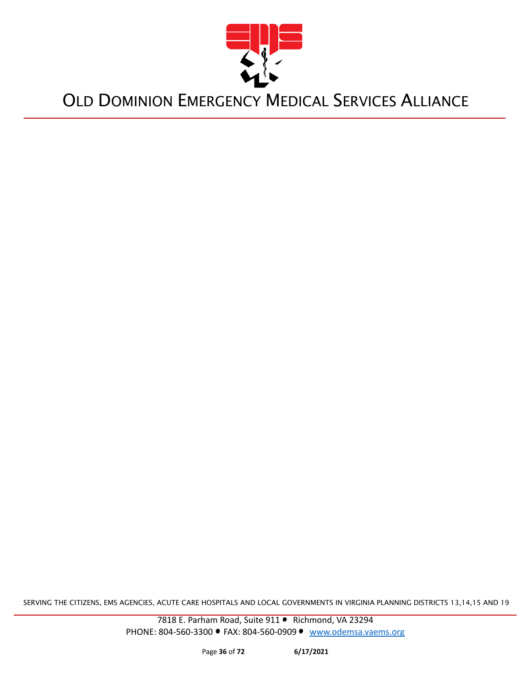

SERVING THE CITIZENS, EMS AGENCIES, ACUTE CARE HOSPITALS AND LOCAL GOVERNMENTS IN VIRGINIA PLANNING DISTRICTS 13,14,15 AND 19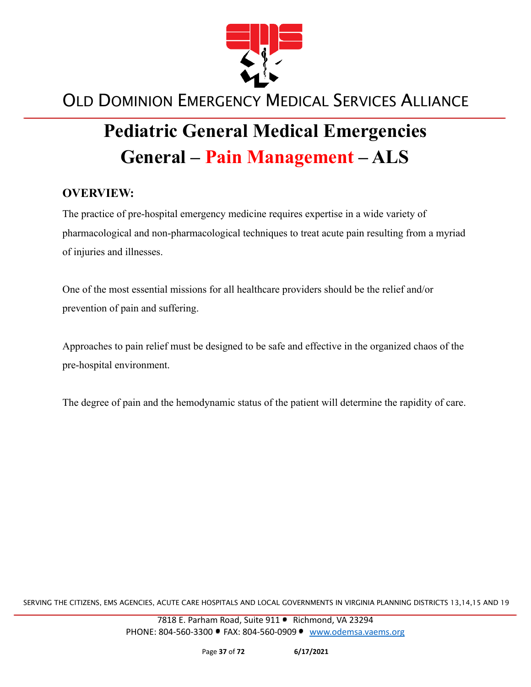

# **Pediatric General Medical Emergencies General – Pain Management – ALS**

#### **OVERVIEW:**

The practice of pre-hospital emergency medicine requires expertise in a wide variety of pharmacological and non-pharmacological techniques to treat acute pain resulting from a myriad of injuries and illnesses.

One of the most essential missions for all healthcare providers should be the relief and/or prevention of pain and suffering.

Approaches to pain relief must be designed to be safe and effective in the organized chaos of the pre-hospital environment.

The degree of pain and the hemodynamic status of the patient will determine the rapidity of care.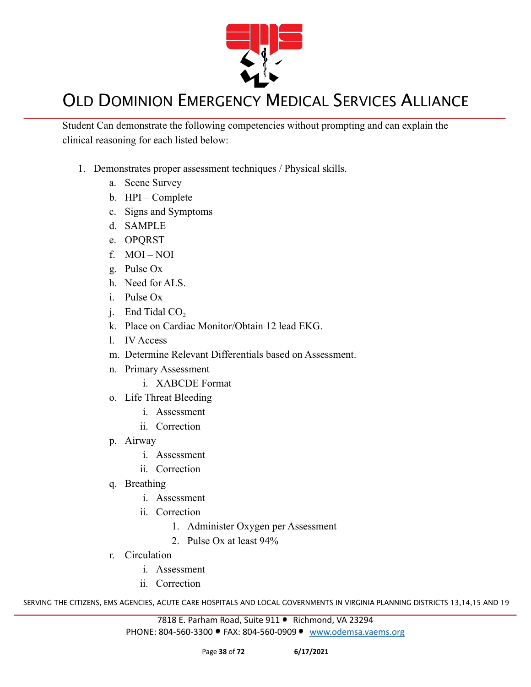

Student Can demonstrate the following competencies without prompting and can explain the clinical reasoning for each listed below:

- 1. Demonstrates proper assessment techniques / Physical skills.
	- a. Scene Survey
	- b. HPI Complete
	- c. Signs and Symptoms
	- d. SAMPLE
	- e. OPQRST
	- f. MOI NOI
	- g. Pulse Ox
	- h. Need for ALS.
	- i. Pulse Ox
	- j. End Tidal  $CO<sub>2</sub>$
	- k. Place on Cardiac Monitor/Obtain 12 lead EKG.
	- l. IV Access
	- m. Determine Relevant Differentials based on Assessment.
	- n. Primary Assessment
		- i. XABCDE Format
	- o. Life Threat Bleeding
		- i. Assessment
		- ii. Correction
	- p. Airway
		- i. Assessment
		- ii. Correction
	- q. Breathing
		- i. Assessment
		- ii. Correction
			- 1. Administer Oxygen per Assessment
			- 2. Pulse Ox at least 94%
	- r. Circulation
		- i. Assessment
		- ii. Correction

SERVING THE CITIZENS, EMS AGENCIES, ACUTE CARE HOSPITALS AND LOCAL GOVERNMENTS IN VIRGINIA PLANNING DISTRICTS 13,14,15 AND 19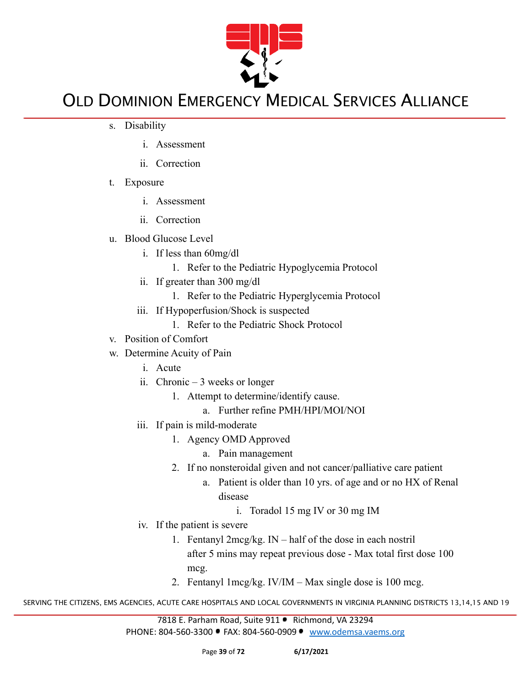

- s. Disability
	- i. Assessment
	- ii. Correction
- t. Exposure
	- i. Assessment
	- ii. Correction
- u. Blood Glucose Level
	- i. If less than 60mg/dl
		- 1. Refer to the Pediatric Hypoglycemia Protocol
	- ii. If greater than 300 mg/dl
		- 1. Refer to the Pediatric Hyperglycemia Protocol
	- iii. If Hypoperfusion/Shock is suspected
		- 1. Refer to the Pediatric Shock Protocol
- v. Position of Comfort
- w. Determine Acuity of Pain
	- i. Acute
	- ii. Chronic 3 weeks or longer
		- 1. Attempt to determine/identify cause.
			- a. Further refine PMH/HPI/MOI/NOI
	- iii. If pain is mild-moderate
		- 1. Agency OMD Approved
			- a. Pain management
		- 2. If no nonsteroidal given and not cancer/palliative care patient
			- a. Patient is older than 10 yrs. of age and or no HX of Renal disease
				- i. Toradol 15 mg IV or 30 mg IM
	- iv. If the patient is severe
		- 1. Fentanyl 2mcg/kg. IN half of the dose in each nostril after 5 mins may repeat previous dose - Max total first dose 100 mcg.
		- 2. Fentanyl 1mcg/kg. IV/IM Max single dose is 100 mcg.

SERVING THE CITIZENS, EMS AGENCIES, ACUTE CARE HOSPITALS AND LOCAL GOVERNMENTS IN VIRGINIA PLANNING DISTRICTS 13,14,15 AND 19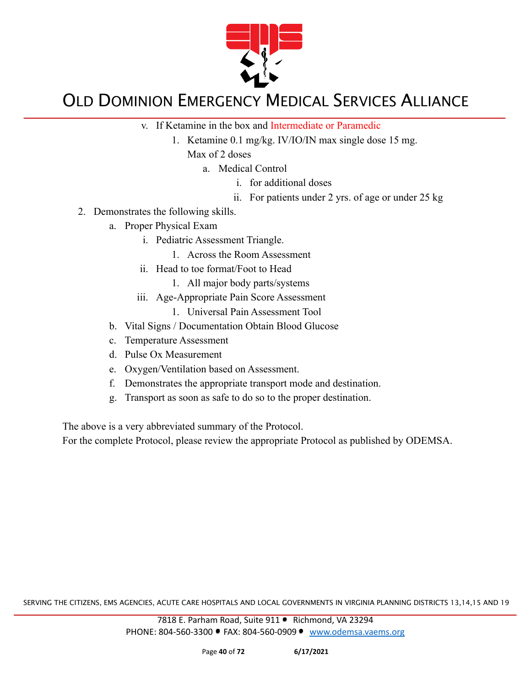

- v. If Ketamine in the box and Intermediate or Paramedic
	- 1. Ketamine 0.1 mg/kg. IV/IO/IN max single dose 15 mg.

Max of 2 doses

- a. Medical Control
	- i. for additional doses
	- ii. For patients under 2 yrs. of age or under 25 kg
- 2. Demonstrates the following skills.
	- a. Proper Physical Exam
		- i. Pediatric Assessment Triangle.
			- 1. Across the Room Assessment
		- ii. Head to toe format/Foot to Head
			- 1. All major body parts/systems
		- iii. Age-Appropriate Pain Score Assessment
			- 1. Universal Pain Assessment Tool
	- b. Vital Signs / Documentation Obtain Blood Glucose
	- c. Temperature Assessment
	- d. Pulse Ox Measurement
	- e. Oxygen/Ventilation based on Assessment.
	- f. Demonstrates the appropriate transport mode and destination.
	- g. Transport as soon as safe to do so to the proper destination.

The above is a very abbreviated summary of the Protocol.

For the complete Protocol, please review the appropriate Protocol as published by ODEMSA.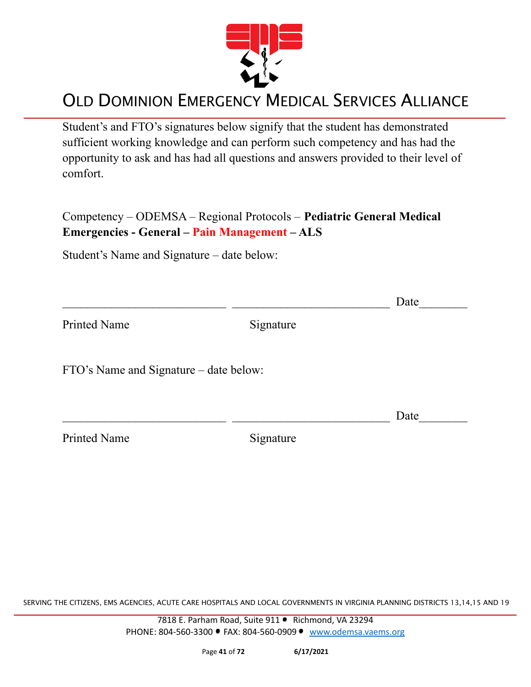

Student's and FTO's signatures below signify that the student has demonstrated sufficient working knowledge and can perform such competency and has had the opportunity to ask and has had all questions and answers provided to their level of comfort.

Competency – ODEMSA – Regional Protocols – **Pediatric General Medical Emergencies - General – Pain Management – ALS**

Student's Name and Signature – date below:

|                                        |           | Date |
|----------------------------------------|-----------|------|
| <b>Printed Name</b>                    | Signature |      |
| FTO's Name and Signature – date below: |           |      |
|                                        |           | Date |
| <b>Printed Name</b>                    | Signature |      |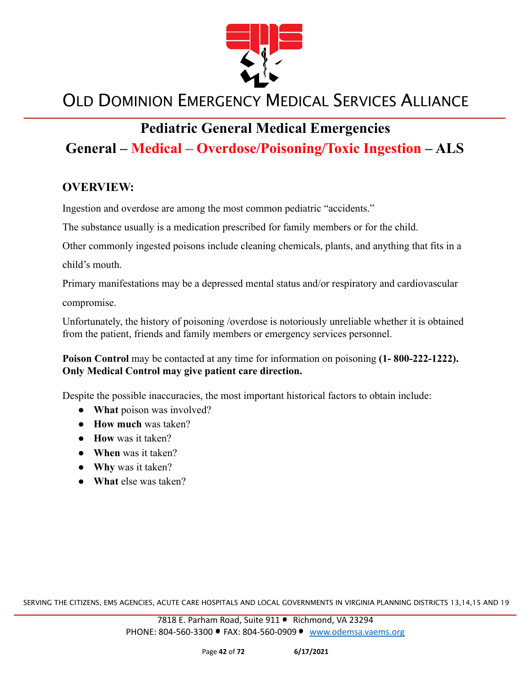

#### **Pediatric General Medical Emergencies General – Medical – Overdose/Poisoning/Toxic Ingestion – ALS**

#### **OVERVIEW:**

Ingestion and overdose are among the most common pediatric "accidents."

The substance usually is a medication prescribed for family members or for the child.

Other commonly ingested poisons include cleaning chemicals, plants, and anything that fits in a child's mouth.

Primary manifestations may be a depressed mental status and/or respiratory and cardiovascular

compromise.

Unfortunately, the history of poisoning /overdose is notoriously unreliable whether it is obtained from the patient, friends and family members or emergency services personnel.

**Poison Control** may be contacted at any time for information on poisoning **(1- 800-222-1222). Only Medical Control may give patient care direction.**

Despite the possible inaccuracies, the most important historical factors to obtain include:

- **What** poison was involved?
- **How much** was taken?
- **How** was it taken?
- **When** was it taken?
- **● Why** was it taken?
- **● What** else was taken?

SERVING THE CITIZENS, EMS AGENCIES, ACUTE CARE HOSPITALS AND LOCAL GOVERNMENTS IN VIRGINIA PLANNING DISTRICTS 13,14,15 AND 19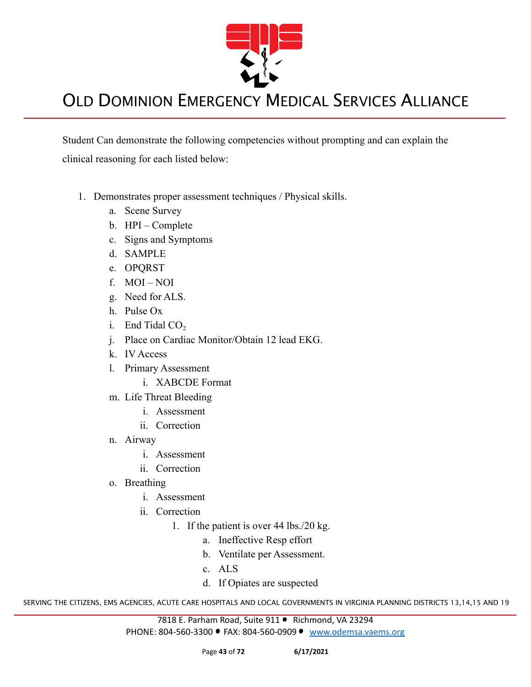

Student Can demonstrate the following competencies without prompting and can explain the clinical reasoning for each listed below:

- 1. Demonstrates proper assessment techniques / Physical skills.
	- a. Scene Survey
	- b. HPI Complete
	- c. Signs and Symptoms
	- d. SAMPLE
	- e. OPQRST
	- f. MOI NOI
	- g. Need for ALS.
	- h. Pulse Ox
	- i. End Tidal  $CO<sub>2</sub>$
	- j. Place on Cardiac Monitor/Obtain 12 lead EKG.
	- k. IV Access
	- l. Primary Assessment
		- i. XABCDE Format
	- m. Life Threat Bleeding
		- i. Assessment
		- ii. Correction
	- n. Airway
		- i. Assessment
		- ii. Correction
	- o. Breathing
		- i. Assessment
		- ii. Correction
			- 1. If the patient is over 44 lbs./20 kg.
				- a. Ineffective Resp effort
				- b. Ventilate per Assessment.
				- c. ALS
				- d. If Opiates are suspected

SERVING THE CITIZENS, EMS AGENCIES, ACUTE CARE HOSPITALS AND LOCAL GOVERNMENTS IN VIRGINIA PLANNING DISTRICTS 13,14,15 AND 19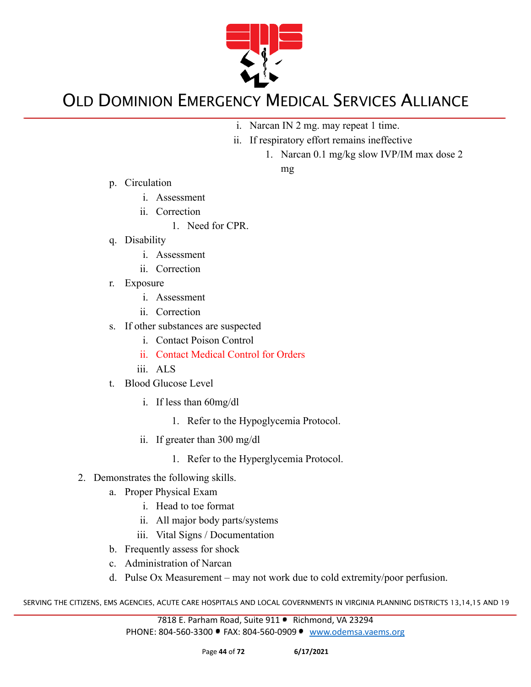

- i. Narcan IN 2 mg. may repeat 1 time.
- ii. If respiratory effort remains ineffective
	- 1. Narcan 0.1 mg/kg slow IVP/IM max dose 2 mg

- p. Circulation
	- i. Assessment
	- ii. Correction
		- 1. Need for CPR.
- q. Disability
	- i. Assessment
	- ii. Correction
- r. Exposure
	- i. Assessment
	- ii. Correction
- s. If other substances are suspected
	- i. Contact Poison Control
	- ii. Contact Medical Control for Orders
	- iii. ALS
- t. Blood Glucose Level
	- i. If less than 60mg/dl
		- 1. Refer to the Hypoglycemia Protocol.
	- ii. If greater than 300 mg/dl
		- 1. Refer to the Hyperglycemia Protocol.
- 2. Demonstrates the following skills.
	- a. Proper Physical Exam
		- i. Head to toe format
		- ii. All major body parts/systems
		- iii. Vital Signs / Documentation
	- b. Frequently assess for shock
	- c. Administration of Narcan
	- d. Pulse Ox Measurement may not work due to cold extremity/poor perfusion.

SERVING THE CITIZENS, EMS AGENCIES, ACUTE CARE HOSPITALS AND LOCAL GOVERNMENTS IN VIRGINIA PLANNING DISTRICTS 13,14,15 AND 19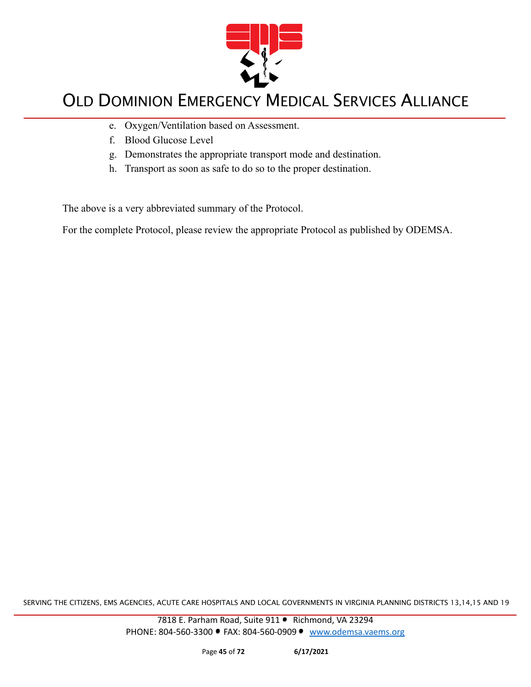

- e. Oxygen/Ventilation based on Assessment.
- f. Blood Glucose Level
- g. Demonstrates the appropriate transport mode and destination.
- h. Transport as soon as safe to do so to the proper destination.

The above is a very abbreviated summary of the Protocol.

For the complete Protocol, please review the appropriate Protocol as published by ODEMSA.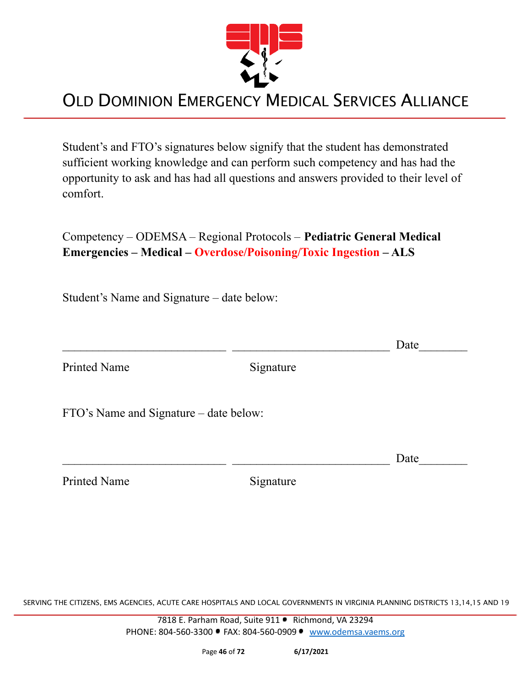

Student's and FTO's signatures below signify that the student has demonstrated sufficient working knowledge and can perform such competency and has had the opportunity to ask and has had all questions and answers provided to their level of comfort.

#### Competency – ODEMSA – Regional Protocols – **Pediatric General Medical Emergencies – Medical – Overdose/Poisoning/Toxic Ingestion – ALS**

Student's Name and Signature – date below:

|                                        |           | Date |
|----------------------------------------|-----------|------|
| <b>Printed Name</b>                    | Signature |      |
| FTO's Name and Signature – date below: |           |      |
|                                        |           | Date |
| <b>Printed Name</b>                    | Signature |      |

SERVING THE CITIZENS, EMS AGENCIES, ACUTE CARE HOSPITALS AND LOCAL GOVERNMENTS IN VIRGINIA PLANNING DISTRICTS 13,14,15 AND 19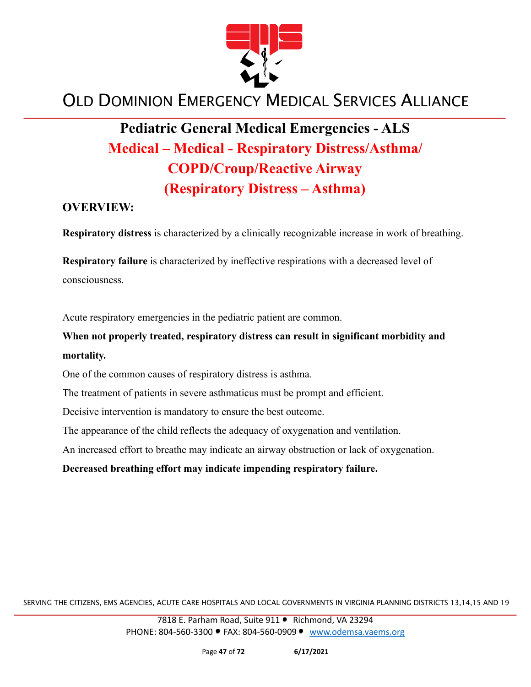

#### **Pediatric General Medical Emergencies - ALS Medical – Medical - Respiratory Distress/Asthma/ COPD/Croup/Reactive Airway (Respiratory Distress – Asthma)**

#### **OVERVIEW:**

**Respiratory distress** is characterized by a clinically recognizable increase in work of breathing.

**Respiratory failure** is characterized by ineffective respirations with a decreased level of consciousness.

Acute respiratory emergencies in the pediatric patient are common.

#### **When not properly treated, respiratory distress can result in significant morbidity and mortality.**

One of the common causes of respiratory distress is asthma.

The treatment of patients in severe asthmaticus must be prompt and efficient.

Decisive intervention is mandatory to ensure the best outcome.

The appearance of the child reflects the adequacy of oxygenation and ventilation.

An increased effort to breathe may indicate an airway obstruction or lack of oxygenation.

**Decreased breathing effort may indicate impending respiratory failure.**

SERVING THE CITIZENS, EMS AGENCIES, ACUTE CARE HOSPITALS AND LOCAL GOVERNMENTS IN VIRGINIA PLANNING DISTRICTS 13,14,15 AND 19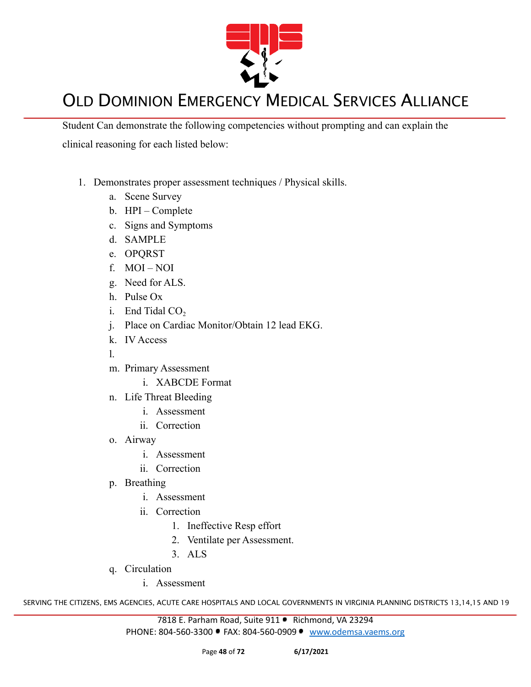

Student Can demonstrate the following competencies without prompting and can explain the clinical reasoning for each listed below:

- 1. Demonstrates proper assessment techniques / Physical skills.
	- a. Scene Survey
	- b. HPI Complete
	- c. Signs and Symptoms
	- d. SAMPLE
	- e. OPQRST
	- f. MOI NOI
	- g. Need for ALS.
	- h. Pulse Ox
	- i. End Tidal  $CO<sub>2</sub>$
	- j. Place on Cardiac Monitor/Obtain 12 lead EKG.
	- k. IV Access
	- l.
	- m. Primary Assessment
		- i. XABCDE Format
	- n. Life Threat Bleeding
		- i. Assessment
		- ii. Correction
	- o. Airway
		- i. Assessment
		- ii. Correction
	- p. Breathing
		- i. Assessment
		- ii. Correction
			- 1. Ineffective Resp effort
			- 2. Ventilate per Assessment.
			- 3. ALS
	- q. Circulation
		- i. Assessment

SERVING THE CITIZENS, EMS AGENCIES, ACUTE CARE HOSPITALS AND LOCAL GOVERNMENTS IN VIRGINIA PLANNING DISTRICTS 13,14,15 AND 19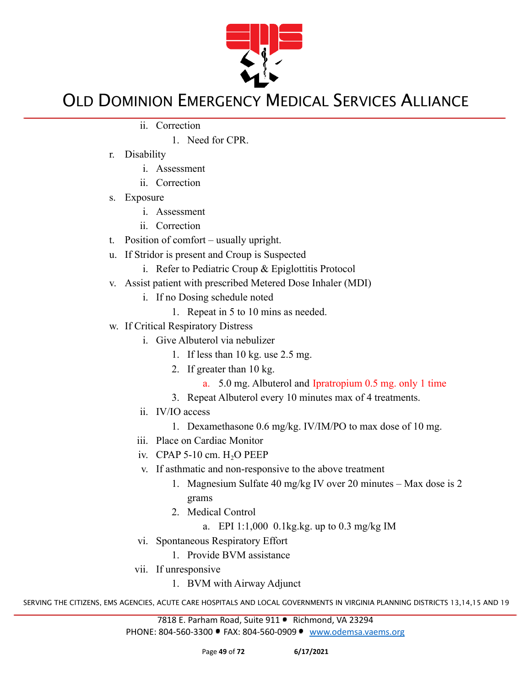

- ii. Correction
	- 1. Need for CPR.
- r. Disability
	- i. Assessment
	- ii. Correction
- s. Exposure
	- i. Assessment
	- ii. Correction
- t. Position of comfort usually upright.
- u. If Stridor is present and Croup is Suspected
	- i. Refer to Pediatric Croup & Epiglottitis Protocol
- v. Assist patient with prescribed Metered Dose Inhaler (MDI)
	- i. If no Dosing schedule noted
		- 1. Repeat in 5 to 10 mins as needed.
- w. If Critical Respiratory Distress
	- i. Give Albuterol via nebulizer
		- 1. If less than 10 kg. use 2.5 mg.
		- 2. If greater than 10 kg.
			- a. 5.0 mg. Albuterol and Ipratropium 0.5 mg. only 1 time
		- 3. Repeat Albuterol every 10 minutes max of 4 treatments.
	- ii. IV/IO access
		- 1. Dexamethasone 0.6 mg/kg. IV/IM/PO to max dose of 10 mg.
	- iii. Place on Cardiac Monitor
	- iv. CPAP 5-10 cm.  $H<sub>2</sub>O$  PEEP
	- v. If asthmatic and non-responsive to the above treatment
		- 1. Magnesium Sulfate 40 mg/kg IV over 20 minutes Max dose is 2 grams
		- 2. Medical Control
			- a. EPI 1:1,000 0.1kg.kg. up to 0.3 mg/kg IM
	- vi. Spontaneous Respiratory Effort
		- 1. Provide BVM assistance
	- vii. If unresponsive
		- 1. BVM with Airway Adjunct

SERVING THE CITIZENS, EMS AGENCIES, ACUTE CARE HOSPITALS AND LOCAL GOVERNMENTS IN VIRGINIA PLANNING DISTRICTS 13,14,15 AND 19

7818 E. Parham Road, Suite 911 · Richmond, VA 23294 PHONE: 804-560-3300 FAX: 804-560-0909 [www.odemsa.vaems.org](http://www.odemsa.vaems.org)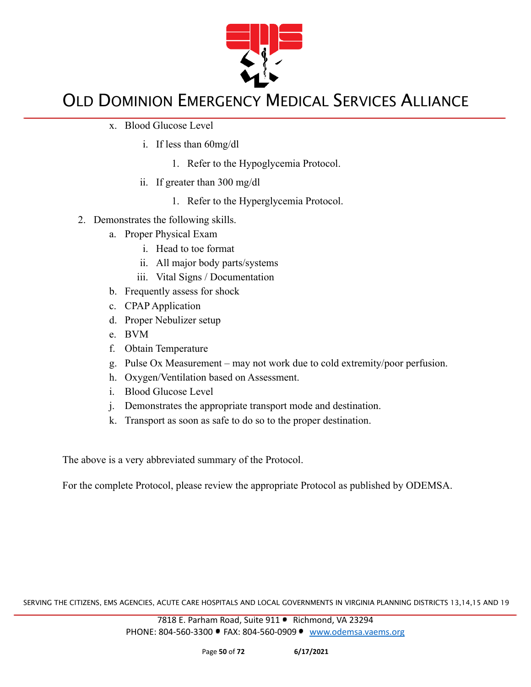

- x. Blood Glucose Level
	- i. If less than 60mg/dl
		- 1. Refer to the Hypoglycemia Protocol.
	- ii. If greater than 300 mg/dl
		- 1. Refer to the Hyperglycemia Protocol.
- 2. Demonstrates the following skills.
	- a. Proper Physical Exam
		- i. Head to toe format
		- ii. All major body parts/systems
		- iii. Vital Signs / Documentation
	- b. Frequently assess for shock
	- c. CPAP Application
	- d. Proper Nebulizer setup
	- e. BVM
	- f. Obtain Temperature
	- g. Pulse Ox Measurement may not work due to cold extremity/poor perfusion.
	- h. Oxygen/Ventilation based on Assessment.
	- i. Blood Glucose Level
	- j. Demonstrates the appropriate transport mode and destination.
	- k. Transport as soon as safe to do so to the proper destination.

The above is a very abbreviated summary of the Protocol.

For the complete Protocol, please review the appropriate Protocol as published by ODEMSA.

SERVING THE CITIZENS, EMS AGENCIES, ACUTE CARE HOSPITALS AND LOCAL GOVERNMENTS IN VIRGINIA PLANNING DISTRICTS 13,14,15 AND 19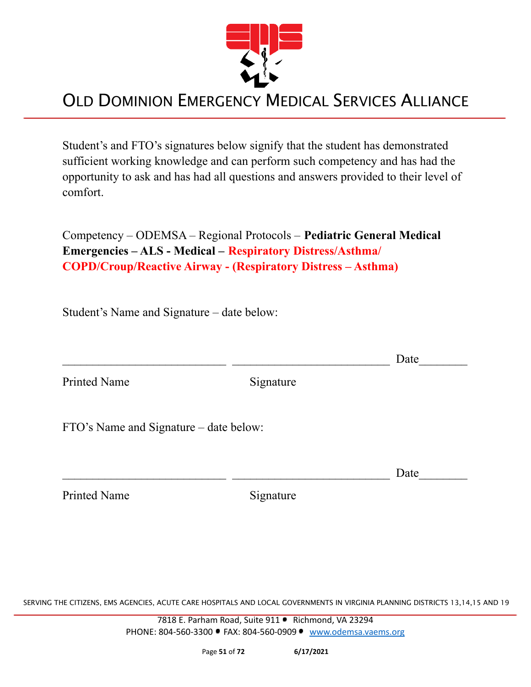

Student's and FTO's signatures below signify that the student has demonstrated sufficient working knowledge and can perform such competency and has had the opportunity to ask and has had all questions and answers provided to their level of comfort.

Competency – ODEMSA – Regional Protocols – **Pediatric General Medical Emergencies – ALS - Medical – Respiratory Distress/Asthma/ COPD/Croup/Reactive Airway - (Respiratory Distress – Asthma)**

Student's Name and Signature – date below:

|                                        |           | Date |
|----------------------------------------|-----------|------|
| <b>Printed Name</b>                    | Signature |      |
| FTO's Name and Signature – date below: |           |      |
|                                        |           | Date |

Printed Name Signature

SERVING THE CITIZENS, EMS AGENCIES, ACUTE CARE HOSPITALS AND LOCAL GOVERNMENTS IN VIRGINIA PLANNING DISTRICTS 13,14,15 AND 19

7818 E. Parham Road, Suite 911 · Richmond, VA 23294 PHONE: 804-560-3300 FAX: 804-560-0909 [www.odemsa.vaems.org](http://www.odemsa.vaems.org)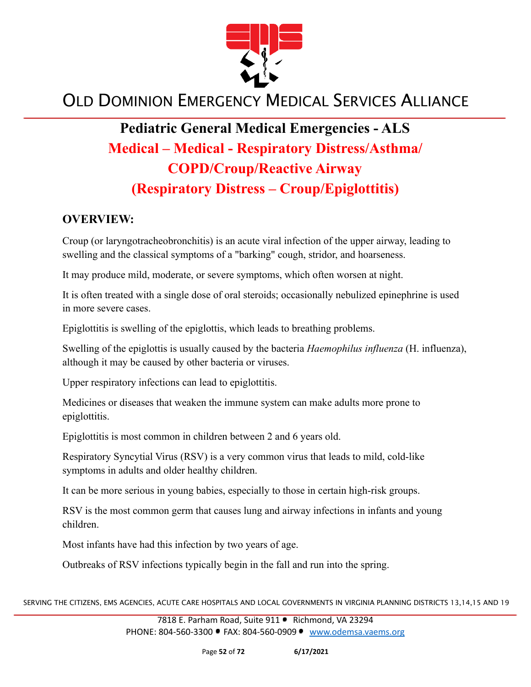

#### **Pediatric General Medical Emergencies - ALS Medical – Medical - Respiratory Distress/Asthma/ COPD/Croup/Reactive Airway (Respiratory Distress – Croup/Epiglottitis)**

#### **OVERVIEW:**

Croup (or laryngotracheobronchitis) is an acute viral infection of the upper airway, leading to swelling and the classical symptoms of a "barking" cough, stridor, and hoarseness.

It may produce mild, moderate, or severe symptoms, which often worsen at night.

It is often treated with a single dose of oral steroids; occasionally nebulized epinephrine is used in more severe cases.

Epiglottitis is swelling of the epiglottis, which leads to breathing problems.

Swelling of the epiglottis is usually caused by the bacteria *Haemophilus influenza* (H. influenza), although it may be caused by other bacteria or viruses.

Upper respiratory infections can lead to epiglottitis.

Medicines or diseases that weaken the immune system can make adults more prone to epiglottitis.

Epiglottitis is most common in children between 2 and 6 years old.

Respiratory Syncytial Virus (RSV) is a very common virus that leads to mild, cold-like symptoms in adults and older healthy children.

It can be more serious in young babies, especially to those in certain high-risk groups.

RSV is the most common germ that causes lung and airway infections in infants and young children.

Most infants have had this infection by two years of age.

Outbreaks of RSV infections typically begin in the fall and run into the spring.

SERVING THE CITIZENS, EMS AGENCIES, ACUTE CARE HOSPITALS AND LOCAL GOVERNMENTS IN VIRGINIA PLANNING DISTRICTS 13,14,15 AND 19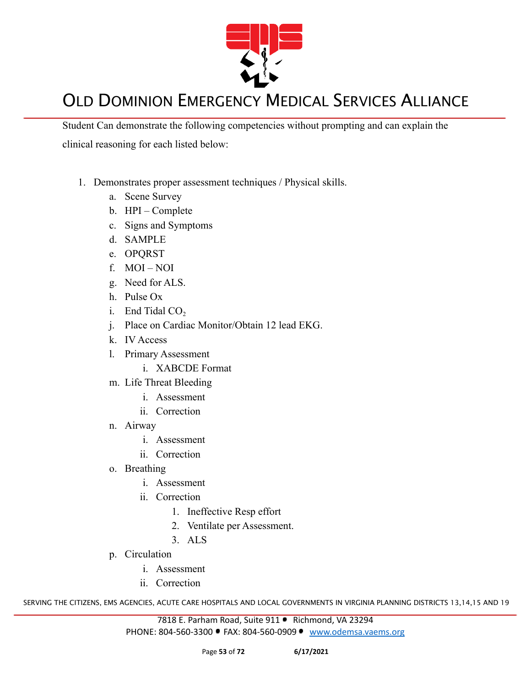

Student Can demonstrate the following competencies without prompting and can explain the clinical reasoning for each listed below:

- 1. Demonstrates proper assessment techniques / Physical skills.
	- a. Scene Survey
	- b. HPI Complete
	- c. Signs and Symptoms
	- d. SAMPLE
	- e. OPQRST
	- f. MOI NOI
	- g. Need for ALS.
	- h. Pulse Ox
	- i. End Tidal  $CO<sub>2</sub>$
	- j. Place on Cardiac Monitor/Obtain 12 lead EKG.
	- k. IV Access
	- l. Primary Assessment
		- i. XABCDE Format
	- m. Life Threat Bleeding
		- i. Assessment
		- ii. Correction
	- n. Airway
		- i. Assessment
		- ii. Correction
	- o. Breathing
		- i. Assessment
		- ii. Correction
			- 1. Ineffective Resp effort
			- 2. Ventilate per Assessment.
			- 3. ALS
	- p. Circulation
		- i. Assessment
		- ii. Correction

SERVING THE CITIZENS, EMS AGENCIES, ACUTE CARE HOSPITALS AND LOCAL GOVERNMENTS IN VIRGINIA PLANNING DISTRICTS 13,14,15 AND 19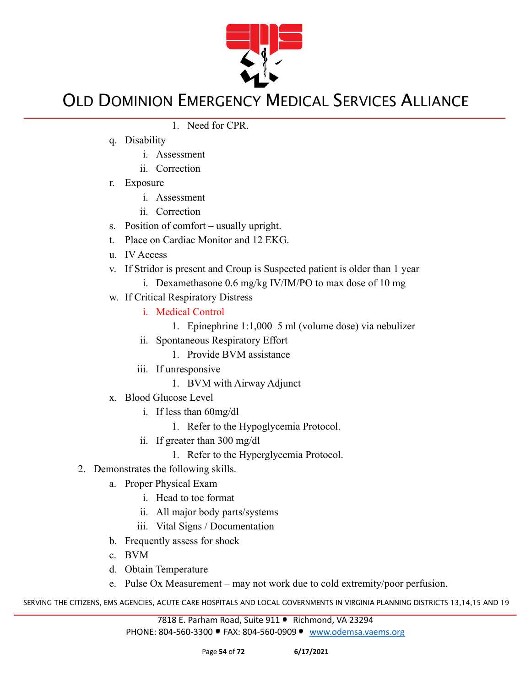

- 1. Need for CPR.
- q. Disability
	- i. Assessment
	- ii. Correction
- r. Exposure
	- i. Assessment
	- ii. Correction
- s. Position of comfort usually upright.
- t. Place on Cardiac Monitor and 12 EKG.
- u. IV Access
- v. If Stridor is present and Croup is Suspected patient is older than 1 year
	- i. Dexamethasone 0.6 mg/kg IV/IM/PO to max dose of 10 mg
- w. If Critical Respiratory Distress
	- i. Medical Control
		- 1. Epinephrine 1:1,000 5 ml (volume dose) via nebulizer
	- ii. Spontaneous Respiratory Effort
		- 1. Provide BVM assistance
	- iii. If unresponsive
		- 1. BVM with Airway Adjunct
- x. Blood Glucose Level
	- i. If less than 60mg/dl
		- 1. Refer to the Hypoglycemia Protocol.
	- ii. If greater than 300 mg/dl
		- 1. Refer to the Hyperglycemia Protocol.
- 2. Demonstrates the following skills.
	- a. Proper Physical Exam
		- i. Head to toe format
		- ii. All major body parts/systems
		- iii. Vital Signs / Documentation
	- b. Frequently assess for shock
	- c. BVM
	- d. Obtain Temperature
	- e. Pulse Ox Measurement may not work due to cold extremity/poor perfusion.

SERVING THE CITIZENS, EMS AGENCIES, ACUTE CARE HOSPITALS AND LOCAL GOVERNMENTS IN VIRGINIA PLANNING DISTRICTS 13,14,15 AND 19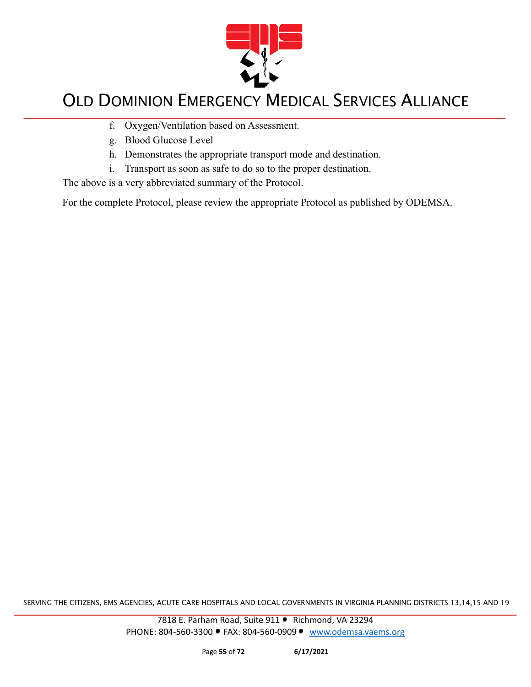

- f. Oxygen/Ventilation based on Assessment.
- g. Blood Glucose Level
- h. Demonstrates the appropriate transport mode and destination.
- i. Transport as soon as safe to do so to the proper destination.

The above is a very abbreviated summary of the Protocol.

For the complete Protocol, please review the appropriate Protocol as published by ODEMSA.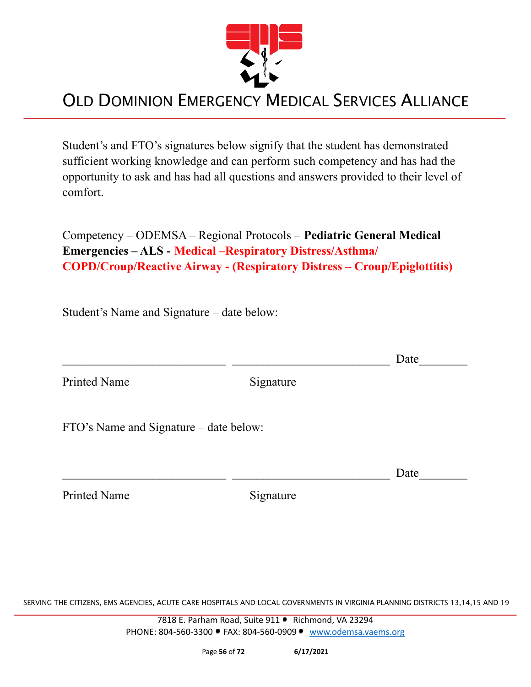

Student's and FTO's signatures below signify that the student has demonstrated sufficient working knowledge and can perform such competency and has had the opportunity to ask and has had all questions and answers provided to their level of comfort.

Competency – ODEMSA – Regional Protocols – **Pediatric General Medical Emergencies – ALS - Medical –Respiratory Distress/Asthma/ COPD/Croup/Reactive Airway - (Respiratory Distress – Croup/Epiglottitis)**

Student's Name and Signature – date below:

|                                        |           | Date |
|----------------------------------------|-----------|------|
| <b>Printed Name</b>                    | Signature |      |
| FTO's Name and Signature – date below: |           |      |
|                                        |           | Date |

Printed Name Signature

SERVING THE CITIZENS, EMS AGENCIES, ACUTE CARE HOSPITALS AND LOCAL GOVERNMENTS IN VIRGINIA PLANNING DISTRICTS 13,14,15 AND 19

7818 E. Parham Road, Suite 911 · Richmond, VA 23294 PHONE: 804-560-3300 FAX: 804-560-0909 [www.odemsa.vaems.org](http://www.odemsa.vaems.org)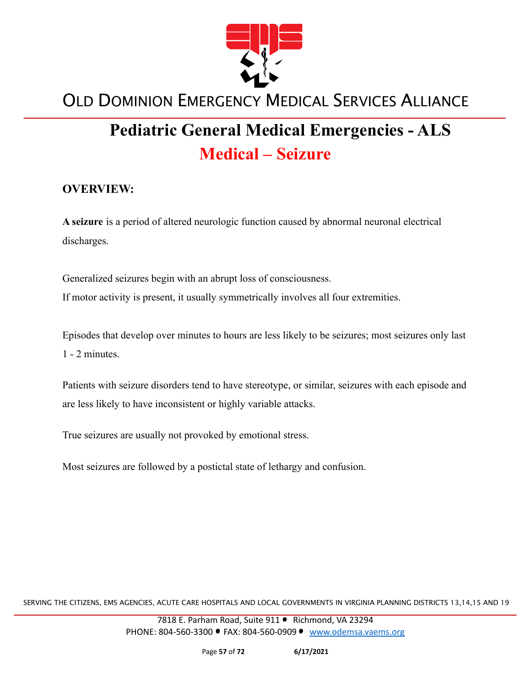

## **Pediatric General Medical Emergencies - ALS Medical – Seizure**

#### **OVERVIEW:**

**A seizure** is a period of altered neurologic function caused by abnormal neuronal electrical discharges.

Generalized seizures begin with an abrupt loss of consciousness. If motor activity is present, it usually symmetrically involves all four extremities.

Episodes that develop over minutes to hours are less likely to be seizures; most seizures only last 1 - 2 minutes.

Patients with seizure disorders tend to have stereotype, or similar, seizures with each episode and are less likely to have inconsistent or highly variable attacks.

True seizures are usually not provoked by emotional stress.

Most seizures are followed by a postictal state of lethargy and confusion.

SERVING THE CITIZENS, EMS AGENCIES, ACUTE CARE HOSPITALS AND LOCAL GOVERNMENTS IN VIRGINIA PLANNING DISTRICTS 13,14,15 AND 19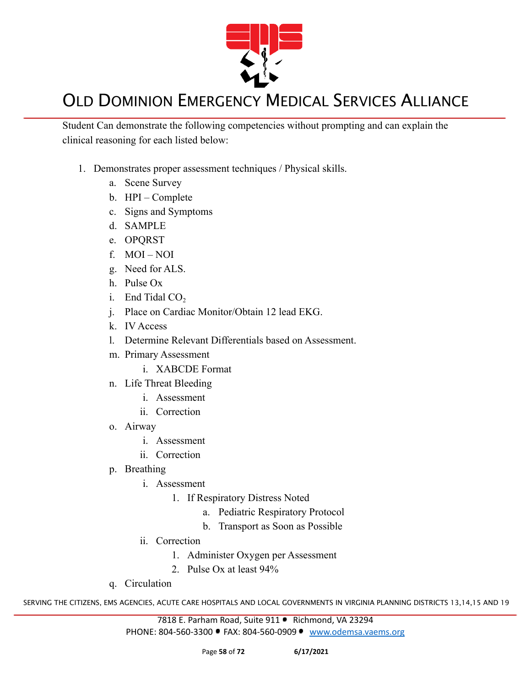

Student Can demonstrate the following competencies without prompting and can explain the clinical reasoning for each listed below:

- 1. Demonstrates proper assessment techniques / Physical skills.
	- a. Scene Survey
	- b. HPI Complete
	- c. Signs and Symptoms
	- d. SAMPLE
	- e. OPQRST
	- f. MOI NOI
	- g. Need for ALS.
	- h. Pulse Ox
	- i. End Tidal  $CO<sub>2</sub>$
	- j. Place on Cardiac Monitor/Obtain 12 lead EKG.
	- k. IV Access
	- l. Determine Relevant Differentials based on Assessment.
	- m. Primary Assessment
		- i. XABCDE Format
	- n. Life Threat Bleeding
		- i. Assessment
		- ii. Correction
	- o. Airway
		- i. Assessment
		- ii. Correction
	- p. Breathing
		- i. Assessment
			- 1. If Respiratory Distress Noted
				- a. Pediatric Respiratory Protocol
				- b. Transport as Soon as Possible
		- ii. Correction
			- 1. Administer Oxygen per Assessment
			- 2. Pulse Ox at least 94%
	- q. Circulation

SERVING THE CITIZENS, EMS AGENCIES, ACUTE CARE HOSPITALS AND LOCAL GOVERNMENTS IN VIRGINIA PLANNING DISTRICTS 13,14,15 AND 19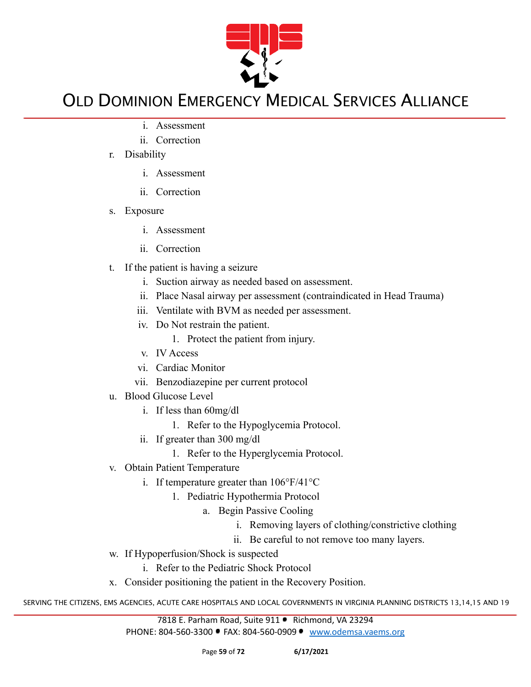

- i. Assessment
- ii. Correction
- r. Disability
	- i. Assessment
	- ii. Correction
- s. Exposure
	- i. Assessment
	- ii. Correction
- t. If the patient is having a seizure
	- i. Suction airway as needed based on assessment.
	- ii. Place Nasal airway per assessment (contraindicated in Head Trauma)
	- iii. Ventilate with BVM as needed per assessment.
	- iv. Do Not restrain the patient.
		- 1. Protect the patient from injury.
	- v. IV Access
	- vi. Cardiac Monitor
	- vii. Benzodiazepine per current protocol
- u. Blood Glucose Level
	- i. If less than 60mg/dl
		- 1. Refer to the Hypoglycemia Protocol.
	- ii. If greater than 300 mg/dl
		- 1. Refer to the Hyperglycemia Protocol.
- v. Obtain Patient Temperature
	- i. If temperature greater than 106°F/41°C
		- 1. Pediatric Hypothermia Protocol
			- a. Begin Passive Cooling
				- i. Removing layers of clothing/constrictive clothing
				- ii. Be careful to not remove too many layers.
- w. If Hypoperfusion/Shock is suspected
	- i. Refer to the Pediatric Shock Protocol
- x. Consider positioning the patient in the Recovery Position.

SERVING THE CITIZENS, EMS AGENCIES, ACUTE CARE HOSPITALS AND LOCAL GOVERNMENTS IN VIRGINIA PLANNING DISTRICTS 13,14,15 AND 19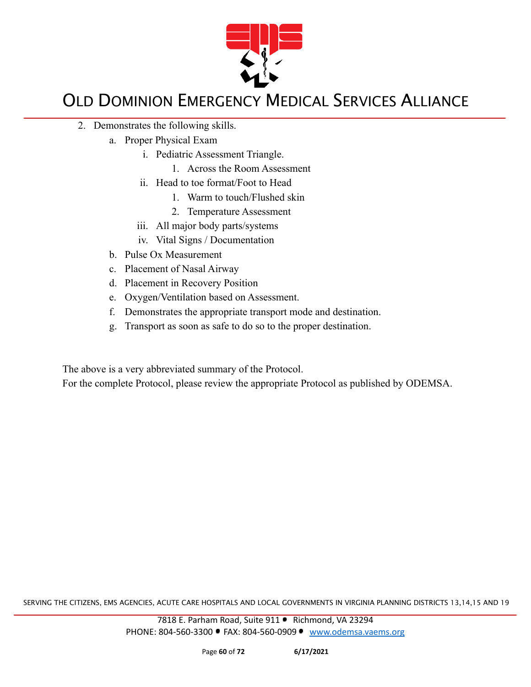

- 2. Demonstrates the following skills.
	- a. Proper Physical Exam
		- i. Pediatric Assessment Triangle.
			- 1. Across the Room Assessment
		- ii. Head to toe format/Foot to Head
			- 1. Warm to touch/Flushed skin
			- 2. Temperature Assessment
		- iii. All major body parts/systems
		- iv. Vital Signs / Documentation
	- b. Pulse Ox Measurement
	- c. Placement of Nasal Airway
	- d. Placement in Recovery Position
	- e. Oxygen/Ventilation based on Assessment.
	- f. Demonstrates the appropriate transport mode and destination.
	- g. Transport as soon as safe to do so to the proper destination.

The above is a very abbreviated summary of the Protocol.

For the complete Protocol, please review the appropriate Protocol as published by ODEMSA.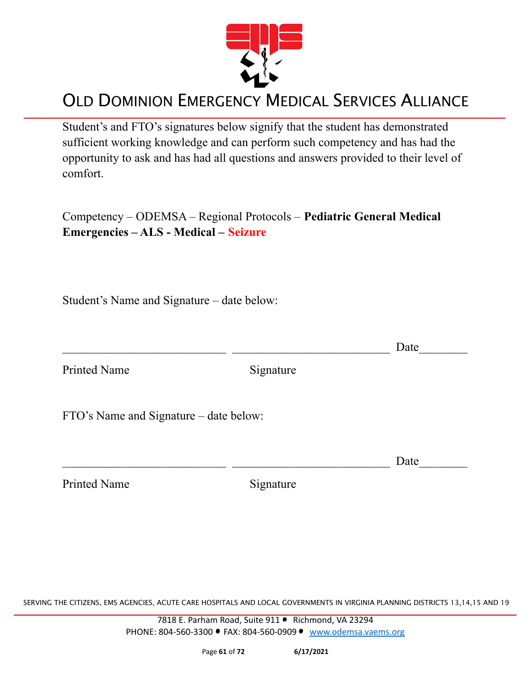

Student's and FTO's signatures below signify that the student has demonstrated sufficient working knowledge and can perform such competency and has had the opportunity to ask and has had all questions and answers provided to their level of comfort.

Competency – ODEMSA – Regional Protocols – **Pediatric General Medical Emergencies – ALS - Medical – Seizure**

Student's Name and Signature – date below:

 $\Box$  Date Printed Name Signature FTO's Name and Signature – date below:  $\Box$  Date Printed Name Signature

SERVING THE CITIZENS, EMS AGENCIES, ACUTE CARE HOSPITALS AND LOCAL GOVERNMENTS IN VIRGINIA PLANNING DISTRICTS 13,14,15 AND 19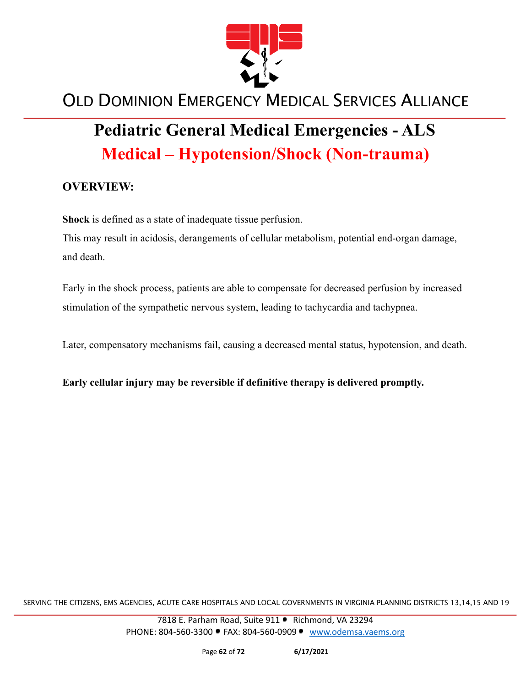

## **Pediatric General Medical Emergencies - ALS Medical – Hypotension/Shock (Non-trauma)**

#### **OVERVIEW:**

**Shock** is defined as a state of inadequate tissue perfusion.

This may result in acidosis, derangements of cellular metabolism, potential end-organ damage, and death.

Early in the shock process, patients are able to compensate for decreased perfusion by increased stimulation of the sympathetic nervous system, leading to tachycardia and tachypnea.

Later, compensatory mechanisms fail, causing a decreased mental status, hypotension, and death.

**Early cellular injury may be reversible if definitive therapy is delivered promptly.**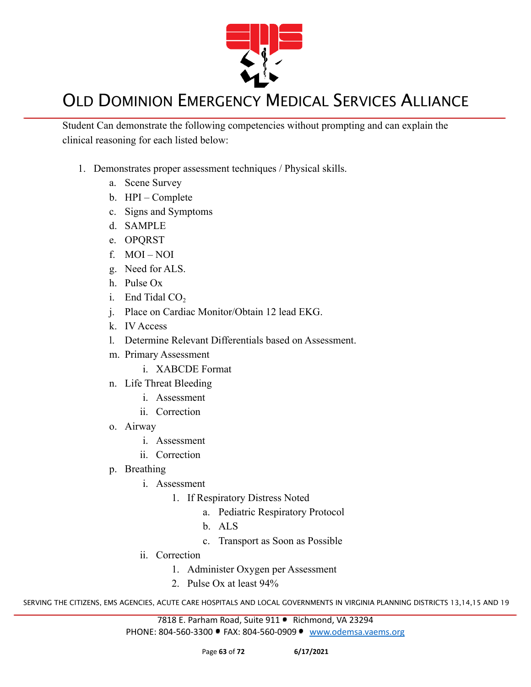

Student Can demonstrate the following competencies without prompting and can explain the clinical reasoning for each listed below:

- 1. Demonstrates proper assessment techniques / Physical skills.
	- a. Scene Survey
	- b. HPI Complete
	- c. Signs and Symptoms
	- d. SAMPLE
	- e. OPQRST
	- f. MOI NOI
	- g. Need for ALS.
	- h. Pulse Ox
	- i. End Tidal  $CO<sub>2</sub>$
	- j. Place on Cardiac Monitor/Obtain 12 lead EKG.
	- k. IV Access
	- l. Determine Relevant Differentials based on Assessment.
	- m. Primary Assessment
		- i. XABCDE Format
	- n. Life Threat Bleeding
		- i. Assessment
		- ii. Correction
	- o. Airway
		- i. Assessment
		- ii. Correction
	- p. Breathing
		- i. Assessment
			- 1. If Respiratory Distress Noted
				- a. Pediatric Respiratory Protocol
				- b. ALS
				- c. Transport as Soon as Possible
		- ii. Correction
			- 1. Administer Oxygen per Assessment
			- 2. Pulse Ox at least 94%

SERVING THE CITIZENS, EMS AGENCIES, ACUTE CARE HOSPITALS AND LOCAL GOVERNMENTS IN VIRGINIA PLANNING DISTRICTS 13,14,15 AND 19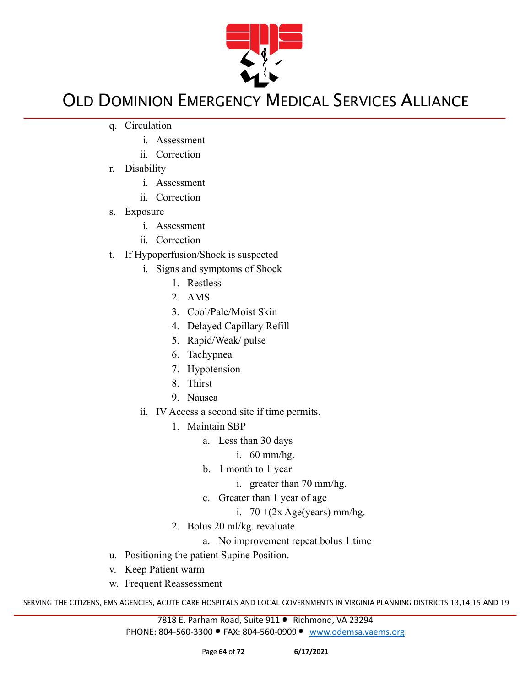

- q. Circulation
	- i. Assessment
	- ii. Correction
- r. Disability
	- i. Assessment
	- ii. Correction
- s. Exposure
	- i. Assessment
	- ii. Correction
- t. If Hypoperfusion/Shock is suspected
	- i. Signs and symptoms of Shock
		- 1. Restless
		- 2. AMS
		- 3. Cool/Pale/Moist Skin
		- 4. Delayed Capillary Refill
		- 5. Rapid/Weak/ pulse
		- 6. Tachypnea
		- 7. Hypotension
		- 8. Thirst
		- 9. Nausea
	- ii. IV Access a second site if time permits.
		- 1. Maintain SBP
			- a. Less than 30 days
				- i. 60 mm/hg.
			- b. 1 month to 1 year
				- i. greater than 70 mm/hg.
			- c. Greater than 1 year of age
				- i.  $70 + (2x \text{ Age}$ (years) mm/hg.
		- 2. Bolus 20 ml/kg. revaluate
			- a. No improvement repeat bolus 1 time
- u. Positioning the patient Supine Position.
- v. Keep Patient warm
- w. Frequent Reassessment

SERVING THE CITIZENS, EMS AGENCIES, ACUTE CARE HOSPITALS AND LOCAL GOVERNMENTS IN VIRGINIA PLANNING DISTRICTS 13,14,15 AND 19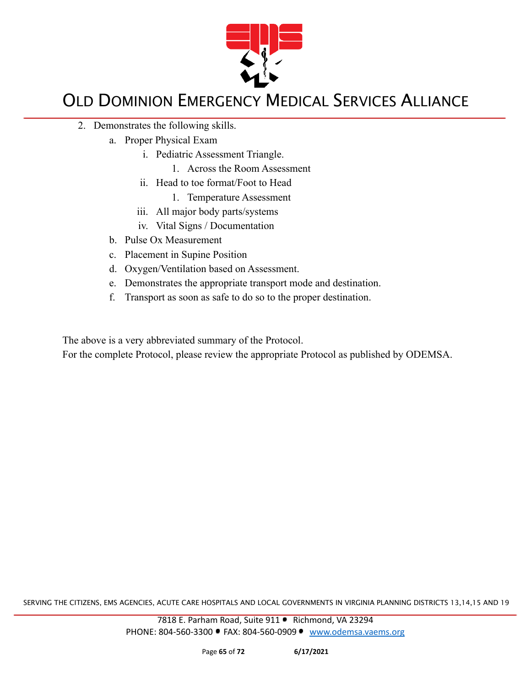

- 2. Demonstrates the following skills.
	- a. Proper Physical Exam
		- i. Pediatric Assessment Triangle.
			- 1. Across the Room Assessment
		- ii. Head to toe format/Foot to Head
			- 1. Temperature Assessment
		- iii. All major body parts/systems
		- iv. Vital Signs / Documentation
	- b. Pulse Ox Measurement
	- c. Placement in Supine Position
	- d. Oxygen/Ventilation based on Assessment.
	- e. Demonstrates the appropriate transport mode and destination.
	- f. Transport as soon as safe to do so to the proper destination.

The above is a very abbreviated summary of the Protocol.

For the complete Protocol, please review the appropriate Protocol as published by ODEMSA.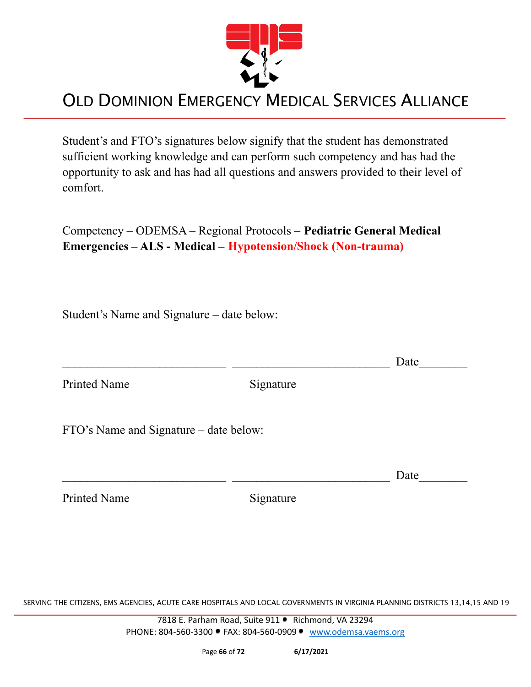

Student's and FTO's signatures below signify that the student has demonstrated sufficient working knowledge and can perform such competency and has had the opportunity to ask and has had all questions and answers provided to their level of comfort.

Competency – ODEMSA – Regional Protocols – **Pediatric General Medical Emergencies – ALS - Medical – Hypotension/Shock (Non-trauma)**

Student's Name and Signature – date below:

|                                        |           | Date |
|----------------------------------------|-----------|------|
| <b>Printed Name</b>                    | Signature |      |
| FTO's Name and Signature – date below: |           |      |
|                                        |           | Date |

Printed Name Signature

SERVING THE CITIZENS, EMS AGENCIES, ACUTE CARE HOSPITALS AND LOCAL GOVERNMENTS IN VIRGINIA PLANNING DISTRICTS 13,14,15 AND 19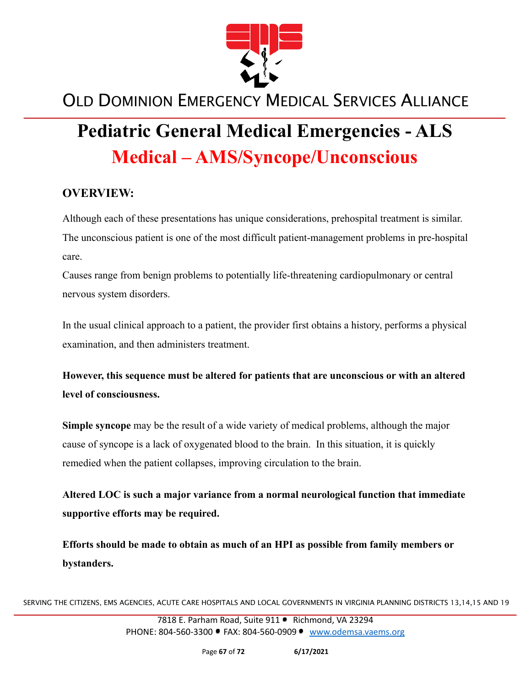

# **Pediatric General Medical Emergencies - ALS Medical – AMS/Syncope/Unconscious**

#### **OVERVIEW:**

Although each of these presentations has unique considerations, prehospital treatment is similar. The unconscious patient is one of the most difficult patient-management problems in pre-hospital care.

Causes range from benign problems to potentially life-threatening cardiopulmonary or central nervous system disorders.

In the usual clinical approach to a patient, the provider first obtains a history, performs a physical examination, and then administers treatment.

**However, this sequence must be altered for patients that are unconscious or with an altered level of consciousness.**

**Simple syncope** may be the result of a wide variety of medical problems, although the major cause of syncope is a lack of oxygenated blood to the brain. In this situation, it is quickly remedied when the patient collapses, improving circulation to the brain.

**Altered LOC is such a major variance from a normal neurological function that immediate supportive efforts may be required.**

**Efforts should be made to obtain as much of an HPI as possible from family members or bystanders.**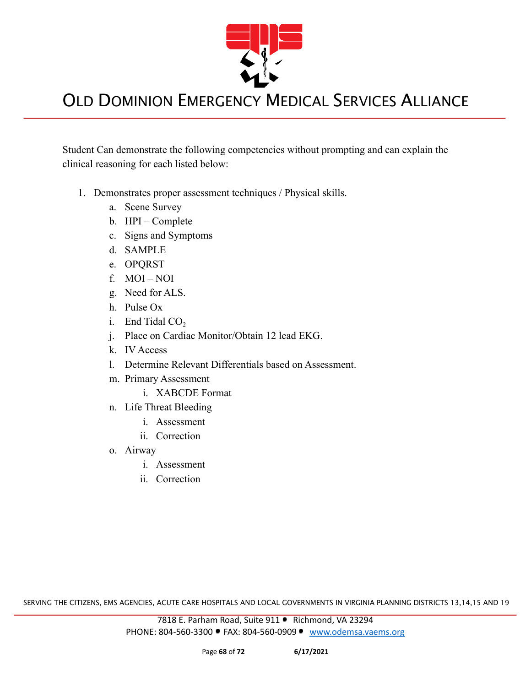

Student Can demonstrate the following competencies without prompting and can explain the clinical reasoning for each listed below:

- 1. Demonstrates proper assessment techniques / Physical skills.
	- a. Scene Survey
	- b. HPI Complete
	- c. Signs and Symptoms
	- d. SAMPLE
	- e. OPQRST
	- f. MOI NOI
	- g. Need for ALS.
	- h. Pulse Ox
	- i. End Tidal  $CO<sub>2</sub>$
	- j. Place on Cardiac Monitor/Obtain 12 lead EKG.
	- k. IV Access
	- l. Determine Relevant Differentials based on Assessment.
	- m. Primary Assessment
		- i. XABCDE Format
	- n. Life Threat Bleeding
		- i. Assessment
		- ii. Correction
	- o. Airway
		- i. Assessment
		- ii. Correction

SERVING THE CITIZENS, EMS AGENCIES, ACUTE CARE HOSPITALS AND LOCAL GOVERNMENTS IN VIRGINIA PLANNING DISTRICTS 13,14,15 AND 19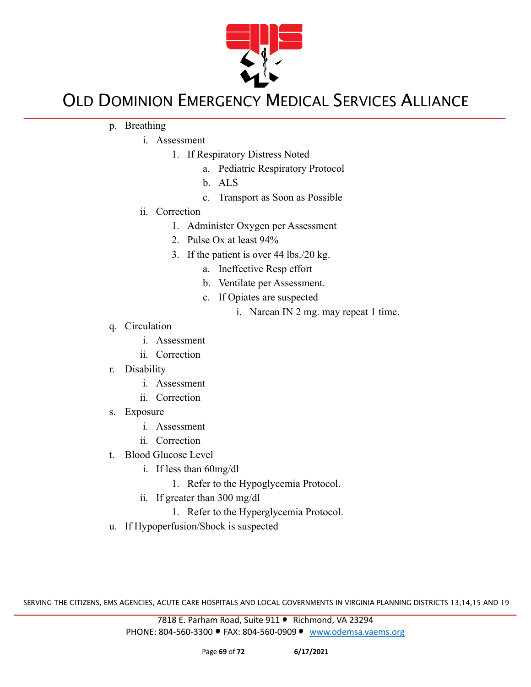

- p. Breathing
	- i. Assessment
		- 1. If Respiratory Distress Noted
			- a. Pediatric Respiratory Protocol
			- b. ALS
			- c. Transport as Soon as Possible
	- ii. Correction
		- 1. Administer Oxygen per Assessment
		- 2. Pulse Ox at least 94%
		- 3. If the patient is over 44 lbs./20 kg.
			- a. Ineffective Resp effort
			- b. Ventilate per Assessment.
			- c. If Opiates are suspected
				- i. Narcan IN 2 mg. may repeat 1 time.
- q. Circulation
	- i. Assessment
	- ii. Correction
- r. Disability
	- i. Assessment
	- ii. Correction
- s. Exposure
	- i. Assessment
	- ii. Correction
- t. Blood Glucose Level
	- i. If less than 60mg/dl
		- 1. Refer to the Hypoglycemia Protocol.
	- ii. If greater than 300 mg/dl
		- 1. Refer to the Hyperglycemia Protocol.
- u. If Hypoperfusion/Shock is suspected

SERVING THE CITIZENS, EMS AGENCIES, ACUTE CARE HOSPITALS AND LOCAL GOVERNMENTS IN VIRGINIA PLANNING DISTRICTS 13,14,15 AND 19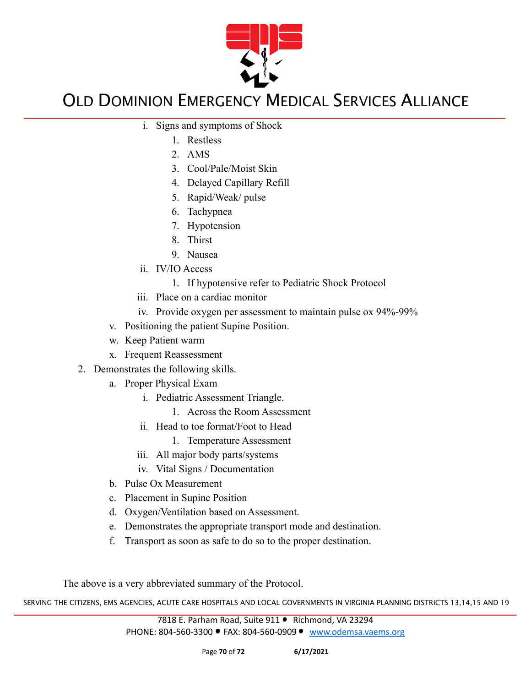

- i. Signs and symptoms of Shock
	- 1. Restless
	- 2. AMS
	- 3. Cool/Pale/Moist Skin
	- 4. Delayed Capillary Refill
	- 5. Rapid/Weak/ pulse
	- 6. Tachypnea
	- 7. Hypotension
	- 8. Thirst
	- 9. Nausea
- ii. IV/IO Access
	- 1. If hypotensive refer to Pediatric Shock Protocol
- iii. Place on a cardiac monitor
- iv. Provide oxygen per assessment to maintain pulse ox 94%-99%
- v. Positioning the patient Supine Position.
- w. Keep Patient warm
- x. Frequent Reassessment
- 2. Demonstrates the following skills.
	- a. Proper Physical Exam
		- i. Pediatric Assessment Triangle.
			- 1. Across the Room Assessment
		- ii. Head to toe format/Foot to Head
			- 1. Temperature Assessment
		- iii. All major body parts/systems
		- iv. Vital Signs / Documentation
	- b. Pulse Ox Measurement
	- c. Placement in Supine Position
	- d. Oxygen/Ventilation based on Assessment.
	- e. Demonstrates the appropriate transport mode and destination.
	- f. Transport as soon as safe to do so to the proper destination.

The above is a very abbreviated summary of the Protocol.

SERVING THE CITIZENS, EMS AGENCIES, ACUTE CARE HOSPITALS AND LOCAL GOVERNMENTS IN VIRGINIA PLANNING DISTRICTS 13,14,15 AND 19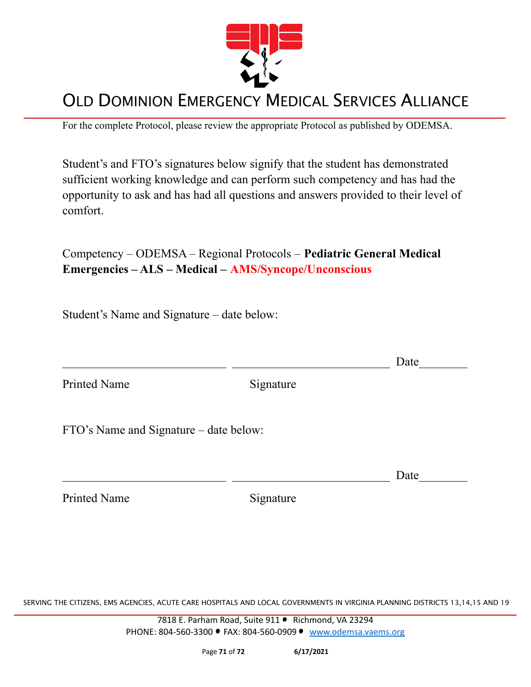

For the complete Protocol, please review the appropriate Protocol as published by ODEMSA.

Student's and FTO's signatures below signify that the student has demonstrated sufficient working knowledge and can perform such competency and has had the opportunity to ask and has had all questions and answers provided to their level of comfort.

Competency – ODEMSA – Regional Protocols – **Pediatric General Medical Emergencies – ALS – Medical – AMS/Syncope/Unconscious**

Student's Name and Signature – date below:

|                                        |           | Date |
|----------------------------------------|-----------|------|
| Printed Name                           | Signature |      |
| FTO's Name and Signature – date below: |           |      |
|                                        |           | Date |

Printed Name Signature

SERVING THE CITIZENS, EMS AGENCIES, ACUTE CARE HOSPITALS AND LOCAL GOVERNMENTS IN VIRGINIA PLANNING DISTRICTS 13,14,15 AND 19